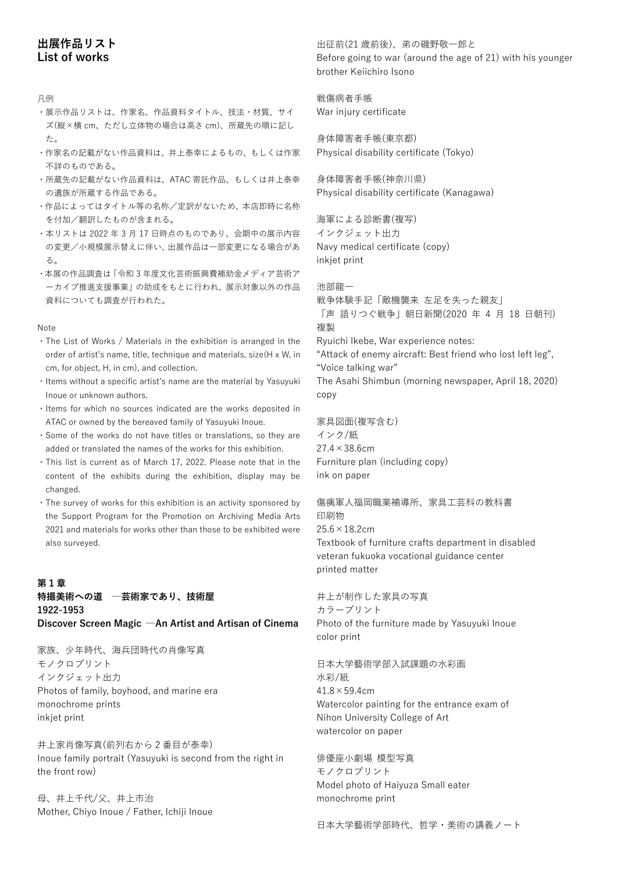# **出展作品リスト List of works**

#### 凡例

・展示作品リストは、作家名、作品資料タイトル、技法・材質、サイ ズ(縦×横 cm、ただし立体物の場合は高さ cm)、所蔵先の順に記し た。

- ・作家名の記載がない作品資料は、井上泰幸によるもの、もしくは作家 不詳のものである。
- ・所蔵先の記載がない作品資料は、ATAC 寄託作品、もしくは井上泰幸 の遺族が所蔵する作品である。
- ・作品によってはタイトル等の名称/定訳がないため、本店即時に名称 を付加/翻訳したものが含まれる。
- ・本リストは 2022 年 3 月 17 日時点のものであり、会期中の展示内容 の変更/小規模展示替えに伴い、出展作品は一部変更になる場合があ る。
- ・本展の作品調査は「令和 3 年度文化芸術振興費補助金メディア芸術ア ーカイブ推進支援事業」の助成をもとに行われ、展示対象以外の作品 資料についても調査が行われた。

#### Note

- ・The List of Works / Materials in the exhibition is arranged in the order of artist's name, title, technique and materials, size(H x W, in cm, for object, H, in cm), and collection.
- ・Items without a specific artist's name are the material by Yasuyuki Inoue or unknown authors.
- ・Items for which no sources indicated are the works deposited in ATAC or owned by the bereaved family of Yasuyuki Inoue.
- ・Some of the works do not have titles or translations, so they are added or translated the names of the works for this exhibition.
- ・This list is current as of March 17, 2022. Please note that in the content of the exhibits during the exhibition, display may be changed.
- ・The survey of works for this exhibition is an activity sponsored by the Support Program for the Promotion on Archiving Media Arts 2021 and materials for works other than those to be exhibited were also surveyed.

# **第 1 章 特撮美術への道 ─芸術家であり、技術屋 1922-1953**

**Discover Screen Magic ─An Artist and Artisan of Cinema**

家族、少年時代、海兵団時代の肖像写真 モノクロプリント インクジェット出力 Photos of family, boyhood, and marine era monochrome prints inkjet print

井上家肖像写真(前列右から 2 番目が泰幸) Inoue family portrait (Yasuyuki is second from the right in the front row)

母、井上千代/父、井上市治 Mother, Chiyo Inoue / Father, Ichiji Inoue 出征前(21 歳前後)、弟の磯野敬一郎と Before going to war (around the age of 21) with his younger brother Keiichiro Isono

戦傷病者手帳 War injury certificate

身体障害者手帳(東京都) Physical disability certificate (Tokyo)

身体障害者手帳(神奈川県) Physical disability certificate (Kanagawa)

海軍による診断書(複写) インクジェット出力 Navy medical certificate (copy) inkjet print

池部龍一 戦争体験手記「敵機襲来 左足を失った親友」 「声 語りつぐ戦争」朝日新聞(2020 年 4 月 18 日朝刊) 複製

Ryuichi Ikebe, War experience notes:

"Attack of enemy aircraft: Best friend who lost left leg", "Voice talking war" The Asahi Shimbun (morning newspaper, April 18, 2020) copy

家具図面(複写含む) インク/紙  $27.4 \times 38.6$ cm Furniture plan (including copy) ink on paper

傷痍軍人福岡職業補導所、家具工芸科の教科書 印刷物  $25.6 \times 18.2$ cm Textbook of furniture crafts department in disabled veteran fukuoka vocational guidance center printed matter

井上が制作した家具の写真 カラープリント Photo of the furniture made by Yasuyuki Inoue color print

日本大学藝術学部入試課題の水彩画 水彩/紙  $41.8 \times 59.4$ cm Watercolor painting for the entrance exam of Nihon University College of Art watercolor on paper

俳優座小劇場 模型写真 モノクロプリント Model photo of Haiyuza Small eater monochrome print

日本大学藝術学部時代、哲学・美術の講義ノート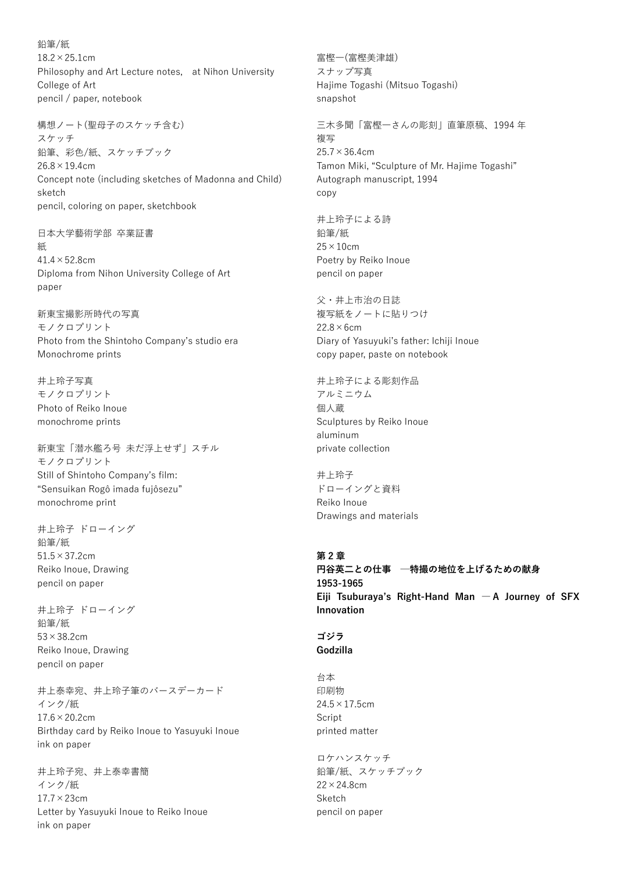鉛筆/紙  $18.2 \times 25.1$ cm Philosophy and Art Lecture notes, at Nihon University College of Art pencil / paper, notebook

構想ノート(聖母子のスケッチ含む) スケッチ 鉛筆、彩色/紙、スケッチブック  $26.8 \times 19.4$ cm Concept note (including sketches of Madonna and Child) sketch pencil, coloring on paper, sketchbook

日本大学藝術学部 卒業証書 紙  $41.4 \times 52.8$ cm Diploma from Nihon University College of Art paper

新東宝撮影所時代の写真 モノクロプリント Photo from the Shintoho Company's studio era Monochrome prints

井上玲子写真 モノクロプリント Photo of Reiko Inoue monochrome prints

新東宝「潜水艦ろ号 未だ浮上せず」スチル モノクロプリント Still of Shintoho Company's film: "Sensuikan Rogô imada fujôsezu" monochrome print

井上玲子 ドローイング 鉛筆/紙 51.5×37.2cm Reiko Inoue, Drawing pencil on paper

井上玲子 ドローイング 鉛筆/紙 53×38.2cm Reiko Inoue, Drawing pencil on paper

井上泰幸宛、井上玲子筆のバースデーカード インク/紙  $17.6 \times 20.2$ cm Birthday card by Reiko Inoue to Yasuyuki Inoue ink on paper

井上玲子宛、井上泰幸書簡 インク/紙 17.7×23cm Letter by Yasuyuki Inoue to Reiko Inoue ink on paper

スナップ写真 Hajime Togashi (Mitsuo Togashi) snapshot 三木多聞「富樫一さんの彫刻」直筆原稿、1994 年 複写  $25.7 \times 36.4$ cm Tamon Miki, "Sculpture of Mr. Hajime Togashi" Autograph manuscript, 1994 copy 井上玲子による詩

鉛筆/紙  $25 \times 10$ cm Poetry by Reiko Inoue pencil on paper

富樫一(富樫美津雄)

父・井上市治の日誌 複写紙をノートに貼りつけ  $22.8\times$ 6cm Diary of Yasuyuki's father: Ichiji Inoue copy paper, paste on notebook

井上玲子による彫刻作品 アルミニウム 個人蔵 Sculptures by Reiko Inoue aluminum private collection

井上玲子 ドローイングと資料 Reiko Inoue Drawings and materials

# **第 2 章**

**円谷英二との仕事 ─特撮の地位を上げるための献身 1953-1965 Eiji Tsuburaya's Right-Hand Man ― A Journey of SFX Innovation**

#### **ゴジラ Godzilla**

台本 印刷物  $24.5 \times 17.5$ cm Script printed matter

ロケハンスケッチ 鉛筆/紙、スケッチブック 22×24.8cm Sketch pencil on paper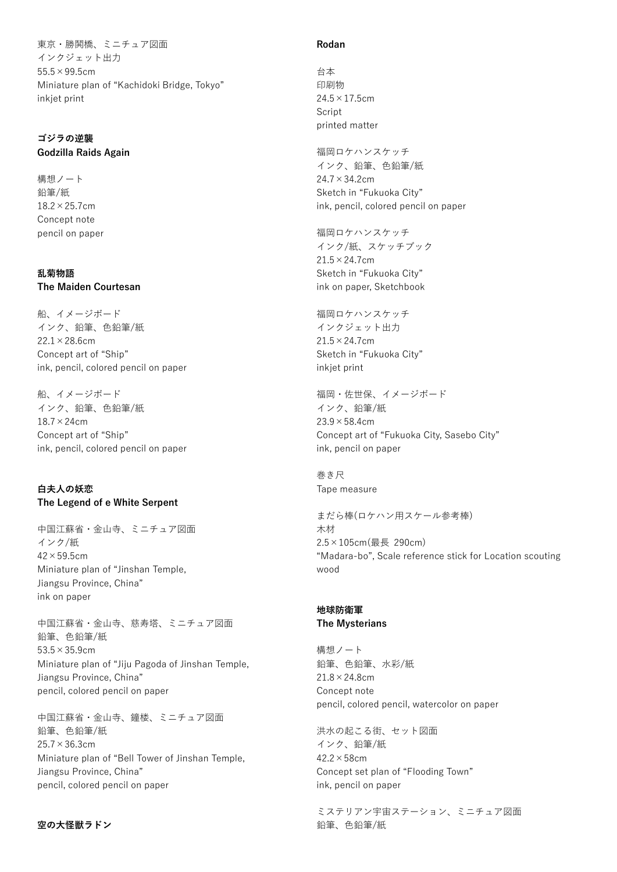東京・勝鬨橋、ミニチュア図面 インクジェット出力 55.5×99.5cm Miniature plan of "Kachidoki Bridge, Tokyo" inkjet print

#### **ゴジラの逆襲 Godzilla Raids Again**

構想ノート 鉛筆/紙 18.2×25.7cm Concept note pencil on paper

## **乱菊物語 The Maiden Courtesan**

船、イメージボード インク、鉛筆、色鉛筆/紙 22.1×28.6cm Concept art of "Ship" ink, pencil, colored pencil on paper

船、イメージボード インク、鉛筆、色鉛筆/紙 18.7×24cm Concept art of "Ship" ink, pencil, colored pencil on paper

## **白夫人の妖恋 The Legend of e White Serpent**

中国江蘇省・金山寺、ミニチュア図面 インク/紙  $42 \times 59.5$ cm Miniature plan of "Jinshan Temple, Jiangsu Province, China" ink on paper

中国江蘇省・金山寺、慈寿塔、ミニチュア図面 鉛筆、色鉛筆/紙 53.5×35.9cm Miniature plan of "Jiju Pagoda of Jinshan Temple, Jiangsu Province, China" pencil, colored pencil on paper

中国江蘇省・金山寺、鐘楼、ミニチュア図面 鉛筆、色鉛筆/紙 25.7×36.3cm Miniature plan of "Bell Tower of Jinshan Temple, Jiangsu Province, China" pencil, colored pencil on paper

## **空の大怪獣ラドン**

#### **Rodan**

台本 印刷物  $24.5 \times 17.5$ cm Script printed matter

福岡ロケハンスケッチ インク、鉛筆、色鉛筆/紙 24.7×34.2cm Sketch in "Fukuoka City" ink, pencil, colored pencil on paper

福岡ロケハンスケッチ インク/紙、スケッチブック 21.5×24.7cm Sketch in "Fukuoka City" ink on paper, Sketchbook

福岡ロケハンスケッチ インクジェット出力 21.5×24.7cm Sketch in "Fukuoka City" inkjet print

福岡・佐世保、イメージボード インク、鉛筆/紙  $23.9 \times 58.4$ cm Concept art of "Fukuoka City, Sasebo City" ink, pencil on paper

巻き尺 Tape measure

まだら棒(ロケハン用スケール参考棒) 木材 2.5×105cm(最長 290cm) "Madara-bo", Scale reference stick for Location scouting wood

#### **地球防衛軍 The Mysterians**

構想ノート 鉛筆、色鉛筆、水彩/紙  $21.8 \times 24.8$ cm Concept note pencil, colored pencil, watercolor on paper

洪水の起こる街、セット図面 インク、鉛筆/紙  $42.2 \times 58$ cm Concept set plan of "Flooding Town" ink, pencil on paper

ミステリアン宇宙ステーション、ミニチュア図面 鉛筆、色鉛筆/紙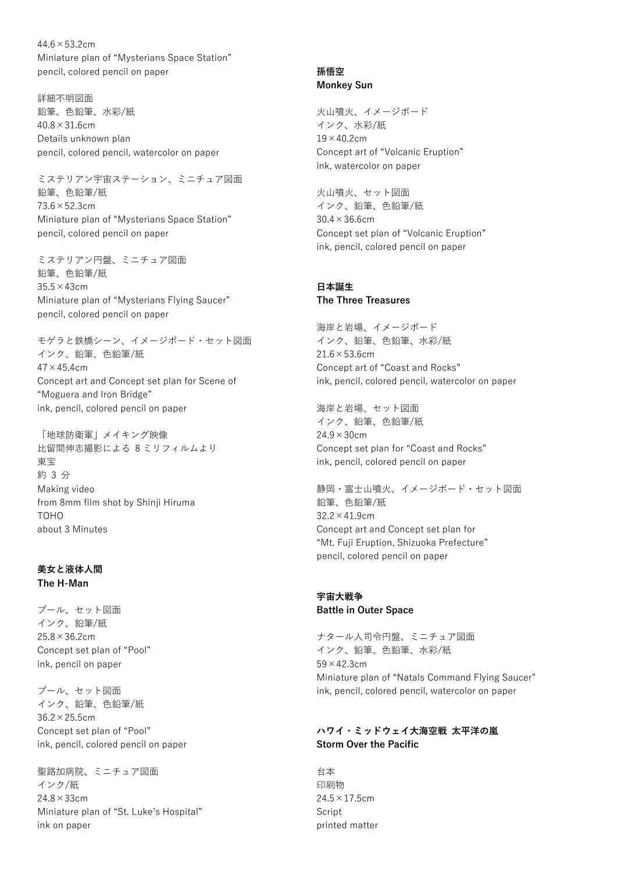$44.6 \times 53.2$ cm Miniature plan of "Mysterians Space Station" pencil, colored pencil on paper

詳細不明図面 鉛筆、色鉛筆、水彩/紙  $40.8 \times 31.6$ cm Details unknown plan pencil, colored pencil, watercolor on paper

ミステリアン宇宙ステーション、ミニチュア図面 鉛筆、色鉛筆/紙 73.6×52.3cm Miniature plan of "Mysterians Space Station" pencil, colored pencil on paper

ミステリアン円盤、ミニチュア図面 鉛筆、色鉛筆/紙 35.5×43cm Miniature plan of "Mysterians Flying Saucer" pencil, colored pencil on paper

モゲラと鉄橋シーン、イメージボード・セット図面 インク、鉛筆、色鉛筆/紙  $47 \times 45.4$ cm Concept art and Concept set plan for Scene of "Moguera and Iron Bridge" ink, pencil, colored pencil on paper

「地球防衛軍」メイキング映像 比留間伸志撮影による 8 ミリフィルムより 東宝 約 3 分 Making video from 8mm film shot by Shinji Hiruma TOHO about 3 Minutes

#### **美女と液体人間 The H-Man**

プール、セット図面 インク、鉛筆/紙  $25.8 \times 36.2$ cm Concept set plan of "Pool" ink, pencil on paper

プール、セット図面 インク、鉛筆、色鉛筆/紙 36.2×25.5cm Concept set plan of "Pool" ink, pencil, colored pencil on paper

聖路加病院、ミニチュア図面 インク/紙 24.8×33cm Miniature plan of "St. Luke's Hospital" ink on paper

## **孫悟空 Monkey Sun**

火山噴火、イメージボード インク、水彩/紙  $19 \times 40.2$ cm Concept art of "Volcanic Eruption" ink, watercolor on paper

火山噴火、セット図面 インク、鉛筆、色鉛筆/紙 30.4×36.6cm Concept set plan of "Volcanic Eruption" ink, pencil, colored pencil on paper

#### **日本誕生 The Three Treasures**

海岸と岩場、イメージボード インク、鉛筆、色鉛筆、水彩/紙  $21.6 \times 53.6$ cm Concept art of "Coast and Rocks" ink, pencil, colored pencil, watercolor on paper

海岸と岩場、セット図面 インク、鉛筆、色鉛筆/紙 24.9×30cm Concept set plan for "Coast and Rocks" ink, pencil, colored pencil on paper

静岡・富士山噴火、イメージボード・セット図面 鉛筆、色鉛筆/紙 32.2×41.9cm Concept art and Concept set plan for "Mt. Fuji Eruption, Shizuoka Prefecture" pencil, colored pencil on paper

# **宇宙大戦争 Battle in Outer Space**

ナタール人司令円盤、ミニチュア図面 インク、鉛筆、色鉛筆、水彩/紙 59×42.3cm Miniature plan of "Natals Command Flying Saucer" ink, pencil, colored pencil, watercolor on paper

# **ハワイ・ミッドウェイ大海空戦 太平洋の嵐 Storm Over the Pacific**

台本 印刷物  $24.5 \times 17.5$ cm Script printed matter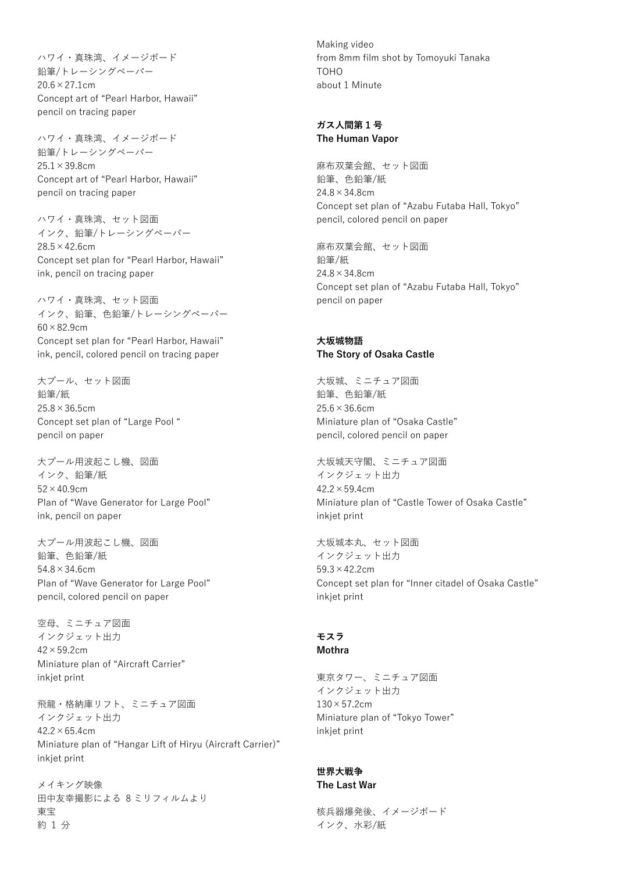ハワイ・真珠湾、イメージボード 鉛筆/トレーシングペーパー  $20.6 \times 27.1$ cm Concept art of "Pearl Harbor, Hawaii" pencil on tracing paper

ハワイ・真珠湾、イメージボード 鉛筆/トレーシングペーパー  $25.1 \times 39.8$ cm Concept art of "Pearl Harbor, Hawaii" pencil on tracing paper

ハワイ・真珠湾、セット図面 インク、鉛筆/トレーシングペーパー  $28.5 \times 42.6$ cm Concept set plan for "Pearl Harbor, Hawaii" ink, pencil on tracing paper

ハワイ・真珠湾、セット図面 インク、鉛筆、色鉛筆/トレーシングペーパー  $60 \times 82.9$ cm Concept set plan for "Pearl Harbor, Hawaii" ink, pencil, colored pencil on tracing paper

大プール、セット図面 鉛筆/紙  $25.8 \times 36.5$ cm Concept set plan of "Large Pool " pencil on paper

大プール用波起こし機、図面 インク、鉛筆/紙  $52 \times 40.9$ cm Plan of "Wave Generator for Large Pool" ink, pencil on paper

大プール用波起こし機、図面 鉛筆、色鉛筆/紙 54.8×34.6cm Plan of "Wave Generator for Large Pool" pencil, colored pencil on paper

空母、ミニチュア図面 インクジェット出力 42×59.2cm Miniature plan of "Aircraft Carrier" inkjet print

飛龍・格納庫リフト、ミニチュア図面 インクジェット出力  $42.2 \times 65.4$ cm Miniature plan of "Hangar Lift of Hiryu (Aircraft Carrier)" inkjet print

メイキング映像 田中友幸撮影による 8 ミリフィルムより 東宝 約 1 分

Making video from 8mm film shot by Tomoyuki Tanaka TOHO about 1 Minute

#### **ガス人間第 1 号 The Human Vapor**

麻布双葉会館、セット図面 鉛筆、色鉛筆/紙 24.8×34.8cm Concept set plan of "Azabu Futaba Hall, Tokyo" pencil, colored pencil on paper

麻布双葉会館、セット図面 鉛筆/紙  $24.8 \times 34.8$ cm Concept set plan of "Azabu Futaba Hall, Tokyo" pencil on paper

## **大坂城物語 The Story of Osaka Castle**

大坂城、ミニチュア図面 鉛筆、色鉛筆/紙  $25.6 \times 36.6$ cm Miniature plan of "Osaka Castle" pencil, colored pencil on paper

大坂城天守閣、ミニチュア図面 インクジェット出力  $42.2 \times 59.4$ cm Miniature plan of "Castle Tower of Osaka Castle" inkjet print

大坂城本丸、セット図面 インクジェット出力 59.3×42.2cm Concept set plan for "Inner citadel of Osaka Castle" inkjet print

# **モスラ**

**Mothra**

東京タワー、ミニチュア図面 インクジェット出力  $130\times57.2$ cm Miniature plan of "Tokyo Tower" inkjet print

# **世界大戦争**

**The Last War**

核兵器爆発後、イメージボード インク、水彩/紙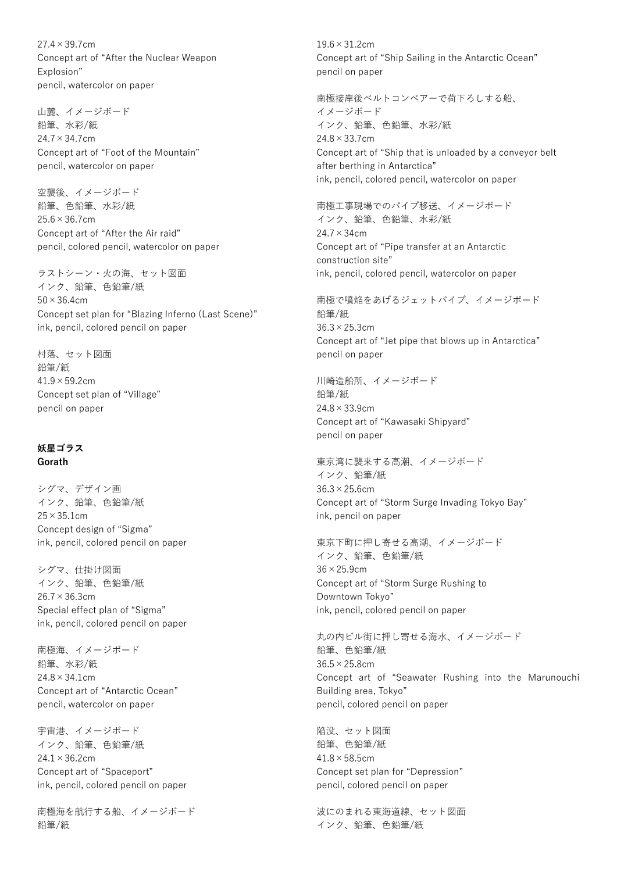$27.4 \times 39.7$ cm Concept art of "After the Nuclear Weapon Explosion" pencil, watercolor on paper

山麓、イメージボード 鉛筆、水彩/紙  $24.7 \times 34.7$ cm Concept art of "Foot of the Mountain" pencil, watercolor on paper

空襲後、イメージボード 鉛筆、色鉛筆、水彩/紙  $25.6 \times 36.7$ cm Concept art of "After the Air raid" pencil, colored pencil, watercolor on paper

ラストシーン・火の海、セット図面 インク、鉛筆、色鉛筆/紙  $50 \times 36.4$ cm Concept set plan for "Blazing Inferno (Last Scene)" ink, pencil, colored pencil on paper

村落、セット図面 鉛筆/紙  $41.9 \times 59.2$ cm Concept set plan of "Village" pencil on paper

# **妖星ゴラス Gorath**

シグマ、デザイン画 インク、鉛筆、色鉛筆/紙  $25 \times 35.1$ cm Concept design of "Sigma" ink, pencil, colored pencil on paper

シグマ、仕掛け図面 インク、鉛筆、色鉛筆/紙 26.7×36.3cm Special effect plan of "Sigma" ink, pencil, colored pencil on paper

南極海、イメージボード 鉛筆、水彩/紙  $24.8 \times 34.1$ cm Concept art of "Antarctic Ocean" pencil, watercolor on paper

宇宙港、イメージボード インク、鉛筆、色鉛筆/紙  $24.1 \times 36.2$ cm Concept art of "Spaceport" ink, pencil, colored pencil on paper

南極海を航行する船、イメージボード 鉛筆/紙

 $19.6 \times 31.2$ cm Concept art of "Ship Sailing in the Antarctic Ocean" pencil on paper

南極接岸後ベルトコンベアーで荷下ろしする船、 イメージボード インク、鉛筆、色鉛筆、水彩/紙 24.8×33.7cm Concept art of "Ship that is unloaded by a conveyor belt after berthing in Antarctica" ink, pencil, colored pencil, watercolor on paper

南極工事現場でのパイプ移送、イメージボード インク、鉛筆、色鉛筆、水彩/紙 24.7×34cm Concept art of "Pipe transfer at an Antarctic construction site" ink, pencil, colored pencil, watercolor on paper

南極で噴焔をあげるジェットパイプ、イメージボード 鉛筆/紙 36.3×25.3cm Concept art of "Jet pipe that blows up in Antarctica" pencil on paper

川崎造船所、イメージボード 鉛筆/紙 24.8×33.9cm Concept art of "Kawasaki Shipyard" pencil on paper

東京湾に襲来する高潮、イメージボード インク、鉛筆/紙  $36.3 \times 25.6$ cm Concept art of "Storm Surge Invading Tokyo Bay" ink, pencil on paper

東京下町に押し寄せる高潮、イメージボード インク、鉛筆、色鉛筆/紙 36×25.9cm Concept art of "Storm Surge Rushing to Downtown Tokyo" ink, pencil, colored pencil on paper

丸の内ビル街に押し寄せる海水、イメージボード 鉛筆、色鉛筆/紙 36.5×25.8cm Concept art of "Seawater Rushing into the Marunouchi Building area, Tokyo" pencil, colored pencil on paper

陥没、セット図面 鉛筆、色鉛筆/紙  $41.8 \times 58.5$ cm Concept set plan for "Depression" pencil, colored pencil on paper

波にのまれる東海道線、セット図面 インク、鉛筆、色鉛筆/紙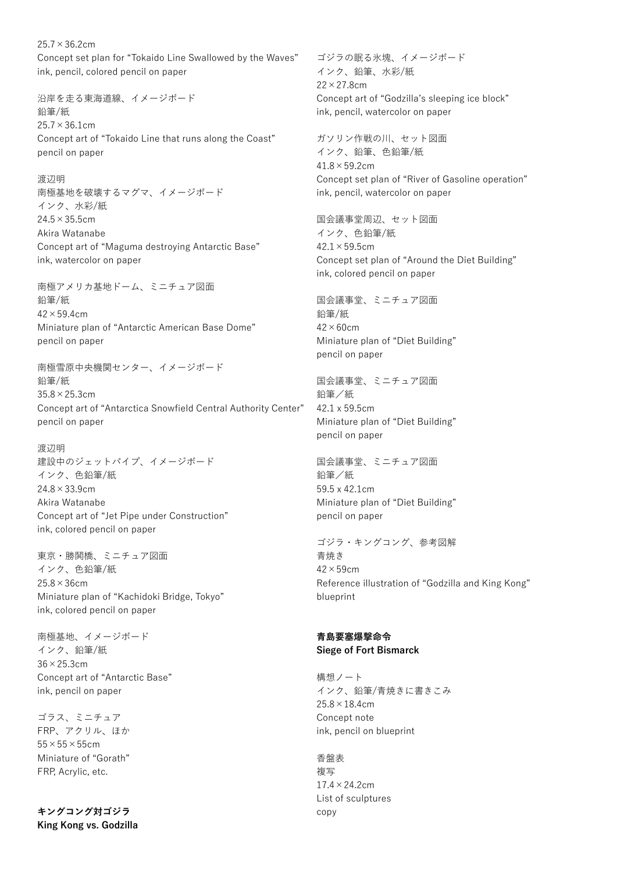$25.7 \times 36.2$ cm Concept set plan for "Tokaido Line Swallowed by the Waves" ink, pencil, colored pencil on paper

沿岸を走る東海道線、イメージボード 鉛筆/紙  $25.7 \times 36.1$ cm Concept art of "Tokaido Line that runs along the Coast" pencil on paper

渡辺明 南極基地を破壊するマグマ、イメージボード インク、水彩/紙  $24.5 \times 35.5$ cm Akira Watanabe Concept art of "Maguma destroying Antarctic Base" ink, watercolor on paper

南極アメリカ基地ドーム、ミニチュア図面 鉛筆/紙  $42 \times 59.4$ cm Miniature plan of "Antarctic American Base Dome" pencil on paper

南極雪原中央機関センター、イメージボード 鉛筆/紙 35.8×25.3cm Concept art of "Antarctica Snowfield Central Authority Center" pencil on paper

渡辺明 建設中のジェットパイプ、イメージボード インク、色鉛筆/紙 24.8×33.9cm Akira Watanabe Concept art of "Jet Pipe under Construction" ink, colored pencil on paper

東京・勝鬨橋、ミニチュア図面 インク、色鉛筆/紙 25.8×36cm Miniature plan of "Kachidoki Bridge, Tokyo" ink, colored pencil on paper

南極基地、イメージボード インク、鉛筆/紙 36×25.3cm Concept art of "Antarctic Base" ink, pencil on paper

ゴラス、ミニチュア FRP、アクリル、ほか  $55 \times 55 \times 55$ cm Miniature of "Gorath" FRP, Acrylic, etc.

**キングコング対ゴジラ King Kong vs. Godzilla** ゴジラの眠る氷塊、イメージボード インク、鉛筆、水彩/紙 22×27.8cm Concept art of "Godzilla's sleeping ice block" ink, pencil, watercolor on paper

ガソリン作戦の川、セット図面 インク、鉛筆、色鉛筆/紙  $41.8 \times 59.2$ cm Concept set plan of "River of Gasoline operation" ink, pencil, watercolor on paper

国会議事堂周辺、セット図面 インク、色鉛筆/紙  $42.1 \times 59.5$ cm Concept set plan of "Around the Diet Building" ink, colored pencil on paper

国会議事堂、ミニチュア図面 鉛筆/紙  $42 \times 60$ cm Miniature plan of "Diet Building" pencil on paper

国会議事堂、ミニチュア図面 鉛筆/紙 42.1x59.5cm Miniature plan of "Diet Building" pencil on paper

国会議事堂、ミニチュア図面 鉛筆/紙 59.5x42.1cm Miniature plan of "Diet Building" pencil on paper

ゴジラ・キングコング、参考図解 青焼き 42×59cm Reference illustration of "Godzilla and King Kong" blueprint

#### **青島要塞爆撃命令 Siege of Fort Bismarck**

構想ノート インク、鉛筆/青焼きに書きこみ 25.8×18.4cm Concept note ink, pencil on blueprint

香盤表 複写  $17.4 \times 24.2$ cm List of sculptures copy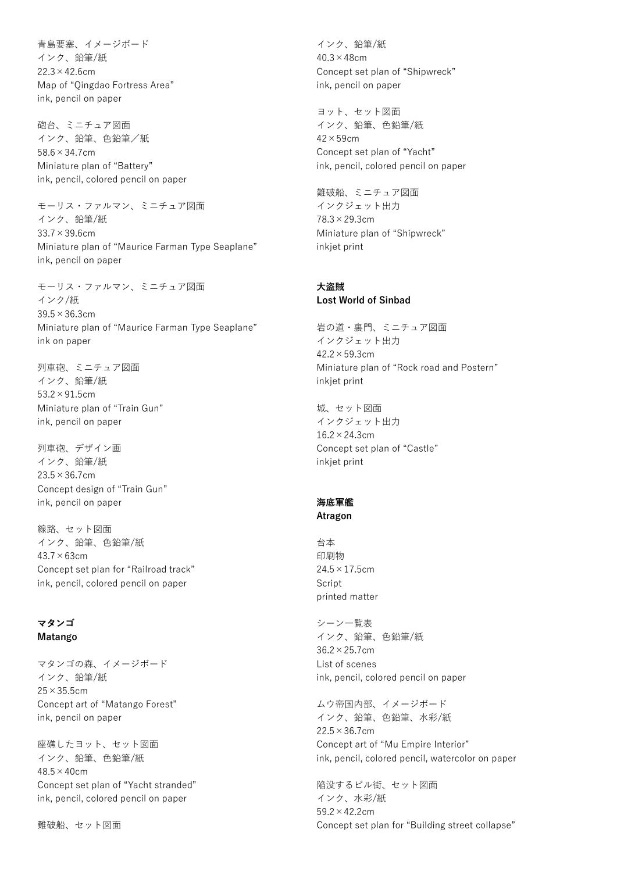青島要塞、イメージボード インク、鉛筆/紙  $22.3 \times 42.6$ cm Map of "Qingdao Fortress Area" ink, pencil on paper

砲台、ミニチュア図面 インク、鉛筆、色鉛筆/紙 58.6×34.7cm Miniature plan of "Battery" ink, pencil, colored pencil on paper

モーリス・ファルマン、ミニチュア図面 インク、鉛筆/紙 33.7×39.6cm Miniature plan of "Maurice Farman Type Seaplane" ink, pencil on paper

モーリス・ファルマン、ミニチュア図面 インク/紙 39.5×36.3cm Miniature plan of "Maurice Farman Type Seaplane" ink on paper

列車砲、ミニチュア図面 インク、鉛筆/紙 53.2×91.5cm Miniature plan of "Train Gun" ink, pencil on paper

列車砲、デザイン画 インク、鉛筆/紙  $23.5 \times 36.7$ cm Concept design of "Train Gun" ink, pencil on paper

線路、セット図面 インク、鉛筆、色鉛筆/紙  $43.7 \times 63$ cm Concept set plan for "Railroad track" ink, pencil, colored pencil on paper

## **マタンゴ Matango**

マタンゴの森、イメージボード インク、鉛筆/紙 25×35.5cm Concept art of "Matango Forest" ink, pencil on paper

座礁したヨット、セット図面 インク、鉛筆、色鉛筆/紙  $48.5 \times 40$ cm Concept set plan of "Yacht stranded" ink, pencil, colored pencil on paper

難破船、セット図面

インク、鉛筆/紙  $40.3 \times 48$ cm Concept set plan of "Shipwreck" ink, pencil on paper

ヨット、セット図面 インク、鉛筆、色鉛筆/紙  $42 \times 59$ cm Concept set plan of "Yacht" ink, pencil, colored pencil on paper

難破船、ミニチュア図面 インクジェット出力 78.3×29.3cm Miniature plan of "Shipwreck" inkjet print

#### **大盗賊 Lost World of Sinbad**

岩の道・裏門、ミニチュア図面 インクジェット出力  $42.2 \times 59.3$ cm Miniature plan of "Rock road and Postern" inkjet print

城、セット図面 インクジェット出力 16.2×24.3cm Concept set plan of "Castle" inkjet print

# **海底軍艦**

**Atragon**

台本 印刷物  $24.5 \times 17.5$ cm Script printed matter

シーン一覧表 インク、鉛筆、色鉛筆/紙 36.2×25.7cm List of scenes ink, pencil, colored pencil on paper

ムウ帝国内部、イメージボード インク、鉛筆、色鉛筆、水彩/紙  $22.5 \times 36.7$ cm Concept art of "Mu Empire Interior" ink, pencil, colored pencil, watercolor on paper

陥没するビル街、セット図面 インク、水彩/紙 59.2×42.2cm Concept set plan for "Building street collapse"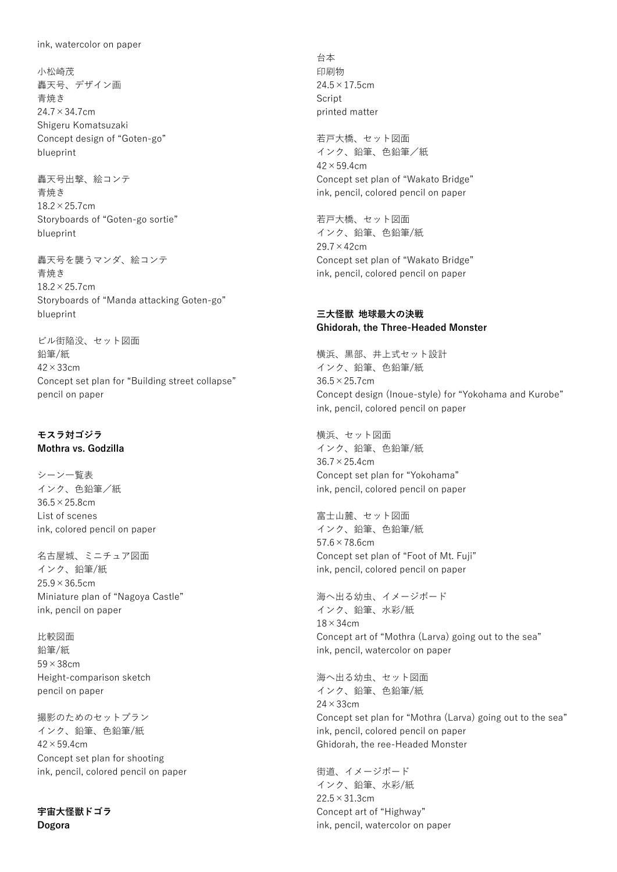小松崎茂 轟天号、デザイン画 青焼き 24.7×34.7cm Shigeru Komatsuzaki Concept design of "Goten-go" blueprint

轟天号出撃、絵コンテ 青焼き 18.2×25.7cm Storyboards of "Goten-go sortie" blueprint

轟天号を襲うマンダ、絵コンテ 青焼き 18.2×25.7cm Storyboards of "Manda attacking Goten-go" blueprint

ビル街陥没、セット図面 鉛筆/紙 42×33cm Concept set plan for "Building street collapse" pencil on paper

## **モスラ対ゴジラ Mothra vs. Godzilla**

シーン一覧表 インク、色鉛筆/紙 36.5×25.8cm List of scenes ink, colored pencil on paper

名古屋城、ミニチュア図面 インク、鉛筆/紙  $25.9 \times 36.5$ cm Miniature plan of "Nagoya Castle" ink, pencil on paper

比較図面 鉛筆/紙 59×38cm Height-comparison sketch pencil on paper

撮影のためのセットプラン インク、鉛筆、色鉛筆/紙  $42 \times 59.4$ cm Concept set plan for shooting ink, pencil, colored pencil on paper

**宇宙大怪獣ドゴラ Dogora**

台本 印刷物  $24.5 \times 17.5$ cm Script printed matter

若戸大橋、セット図面 インク、鉛筆、色鉛筆/紙  $42 \times 59.4$ cm Concept set plan of "Wakato Bridge" ink, pencil, colored pencil on paper

若戸大橋、セット図面 インク、鉛筆、色鉛筆/紙 29.7×42cm Concept set plan of "Wakato Bridge" ink, pencil, colored pencil on paper

## **三大怪獣 地球最大の決戦 Ghidorah, the Three-Headed Monster**

横浜、黒部、井上式セット設計 インク、鉛筆、色鉛筆/紙 36.5×25.7cm Concept design (Inoue-style) for "Yokohama and Kurobe" ink, pencil, colored pencil on paper

横浜、セット図面 インク、鉛筆、色鉛筆/紙 36.7×25.4cm Concept set plan for "Yokohama" ink, pencil, colored pencil on paper

富士山麓、セット図面 インク、鉛筆、色鉛筆/紙 57.6×78.6cm Concept set plan of "Foot of Mt. Fuji" ink, pencil, colored pencil on paper

海へ出る幼虫、イメージボード インク、鉛筆、水彩/紙 18×34cm Concept art of "Mothra (Larva) going out to the sea" ink, pencil, watercolor on paper

海へ出る幼虫、セット図面 インク、鉛筆、色鉛筆/紙 24×33cm Concept set plan for "Mothra (Larva) going out to the sea" ink, pencil, colored pencil on paper Ghidorah, the ree-Headed Monster

街道、イメージボード インク、鉛筆、水彩/紙 22.5×31.3cm Concept art of "Highway" ink, pencil, watercolor on paper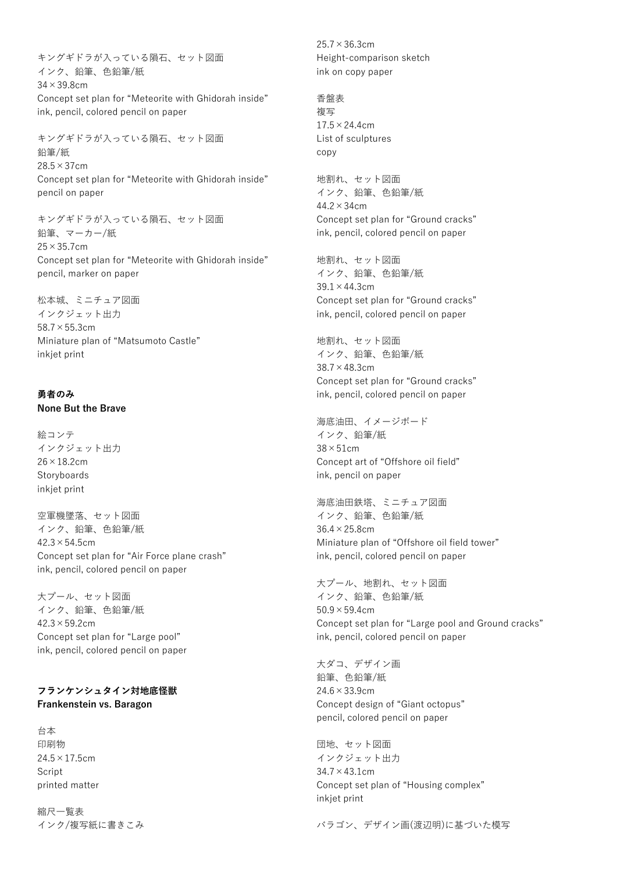キングギドラが入っている隕石、セット図面 インク、鉛筆、色鉛筆/紙 34×39.8cm Concept set plan for "Meteorite with Ghidorah inside" ink, pencil, colored pencil on paper

キングギドラが入っている隕石、セット図面 鉛筆/紙 28.5×37cm Concept set plan for "Meteorite with Ghidorah inside" pencil on paper

キングギドラが入っている隕石、セット図面 鉛筆、マーカー/紙  $25 \times 35.7$ cm Concept set plan for "Meteorite with Ghidorah inside" pencil, marker on paper

松本城、ミニチュア図面 インクジェット出力 58.7×55.3cm Miniature plan of "Matsumoto Castle" inkjet print

## **勇者のみ None But the Brave**

絵コンテ インクジェット出力 26×18.2cm Storyboards inkjet print

空軍機墜落、セット図面 インク、鉛筆、色鉛筆/紙  $42.3 \times 54.5$ cm Concept set plan for "Air Force plane crash" ink, pencil, colored pencil on paper

大プール、セット図面 インク、鉛筆、色鉛筆/紙  $42.3 \times 59.2$ cm Concept set plan for "Large pool" ink, pencil, colored pencil on paper

## **フランケンシュタイン対地底怪獣 Frankenstein vs. Baragon**

台本 印刷物  $24.5 \times 17.5$ cm Script printed matter

縮尺一覧表 インク/複写紙に書きこみ 25.7×36.3cm Height-comparison sketch ink on copy paper

香盤表 複写  $17.5 \times 24.4$ cm List of sculptures copy

地割れ、セット図面 インク、鉛筆、色鉛筆/紙  $44.2 \times 34$ cm Concept set plan for "Ground cracks" ink, pencil, colored pencil on paper

地割れ、セット図面 インク、鉛筆、色鉛筆/紙 39.1×44.3cm Concept set plan for "Ground cracks" ink, pencil, colored pencil on paper

地割れ、セット図面 インク、鉛筆、色鉛筆/紙 38.7×48.3cm Concept set plan for "Ground cracks" ink, pencil, colored pencil on paper

海底油田、イメージボード インク、鉛筆/紙  $38 \times 51$ cm Concept art of "Offshore oil field" ink, pencil on paper

海底油田鉄塔、ミニチュア図面 インク、鉛筆、色鉛筆/紙 36.4×25.8cm Miniature plan of "Offshore oil field tower" ink, pencil, colored pencil on paper

大プール、地割れ、セット図面 インク、鉛筆、色鉛筆/紙  $50.9 \times 59.4$ cm Concept set plan for "Large pool and Ground cracks" ink, pencil, colored pencil on paper

大ダコ、デザイン画 鉛筆、色鉛筆/紙 24.6×33.9cm Concept design of "Giant octopus" pencil, colored pencil on paper

団地、セット図面 インクジェット出力  $34.7 \times 43.1$  cm Concept set plan of "Housing complex" inkjet print

バラゴン、デザイン画(渡辺明)に基づいた模写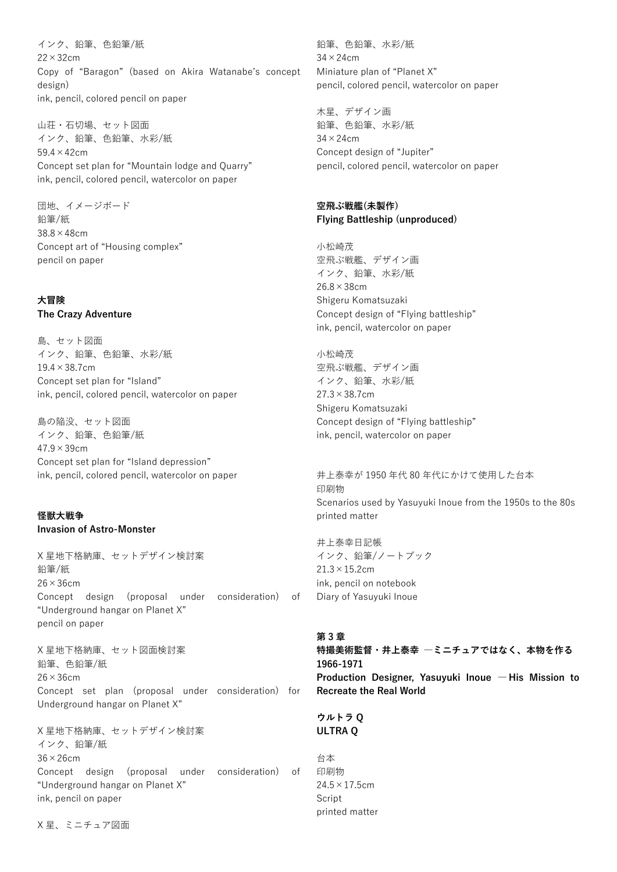インク、鉛筆、色鉛筆/紙 22×32cm Copy of "Baragon" (based on Akira Watanabe's concept design) ink, pencil, colored pencil on paper

山荘・石切場、セット図面 インク、鉛筆、色鉛筆、水彩/紙 59.4×42cm Concept set plan for "Mountain lodge and Quarry" ink, pencil, colored pencil, watercolor on paper

団地、イメージボード 鉛筆/紙 38.8×48cm Concept art of "Housing complex" pencil on paper

## **大冒険**

**The Crazy Adventure**

島、セット図面 インク、鉛筆、色鉛筆、水彩/紙 19.4×38.7cm Concept set plan for "Island" ink, pencil, colored pencil, watercolor on paper

島の陥没、セット図面 インク、鉛筆、色鉛筆/紙  $47.9 \times 39$ cm Concept set plan for "Island depression" ink, pencil, colored pencil, watercolor on paper

## **怪獣大戦争 Invasion of Astro-Monster**

X 星地下格納庫、セットデザイン検討案 鉛筆/紙  $26 \times 36$ cm Concept design (proposal under consideration) of "Underground hangar on Planet X" pencil on paper

X 星地下格納庫、セット図面検討案 鉛筆、色鉛筆/紙  $26 \times 36$ cm Concept set plan (proposal under consideration) for Underground hangar on Planet X"

X 星地下格納庫、セットデザイン検討案 インク、鉛筆/紙 36×26cm Concept design (proposal under consideration) of "Underground hangar on Planet X" ink, pencil on paper

鉛筆、色鉛筆、水彩/紙  $34 \times 24$ cm Miniature plan of "Planet X" pencil, colored pencil, watercolor on paper

木星、デザイン画 鉛筆、色鉛筆、水彩/紙  $34 \times 24$ cm Concept design of "Jupiter" pencil, colored pencil, watercolor on paper

## **空飛ぶ戦艦(未製作) Flying Battleship (unproduced)**

小松崎茂 空飛ぶ戦艦、デザイン画 インク、鉛筆、水彩/紙 26.8×38cm Shigeru Komatsuzaki Concept design of "Flying battleship" ink, pencil, watercolor on paper

小松崎茂 空飛ぶ戦艦、デザイン画 インク、鉛筆、水彩/紙 27.3×38.7cm Shigeru Komatsuzaki Concept design of "Flying battleship" ink, pencil, watercolor on paper

井上泰幸が 1950 年代 80 年代にかけて使用した台本 印刷物 Scenarios used by Yasuyuki Inoue from the 1950s to the 80s printed matter

井上泰幸日記帳 インク、鉛筆/ノートブック  $21.3 \times 15.2$ cm ink, pencil on notebook Diary of Yasuyuki Inoue

#### **第 3 章**

**特撮美術監督・井上泰幸 ―ミニチュアではなく、本物を作る 1966-1971 Production Designer, Yasuyuki Inoue ― His Mission to Recreate the Real World**

**ウルトラ Q ULTRA Q**

台本 印刷物  $24.5 \times 17.5$ cm Script printed matter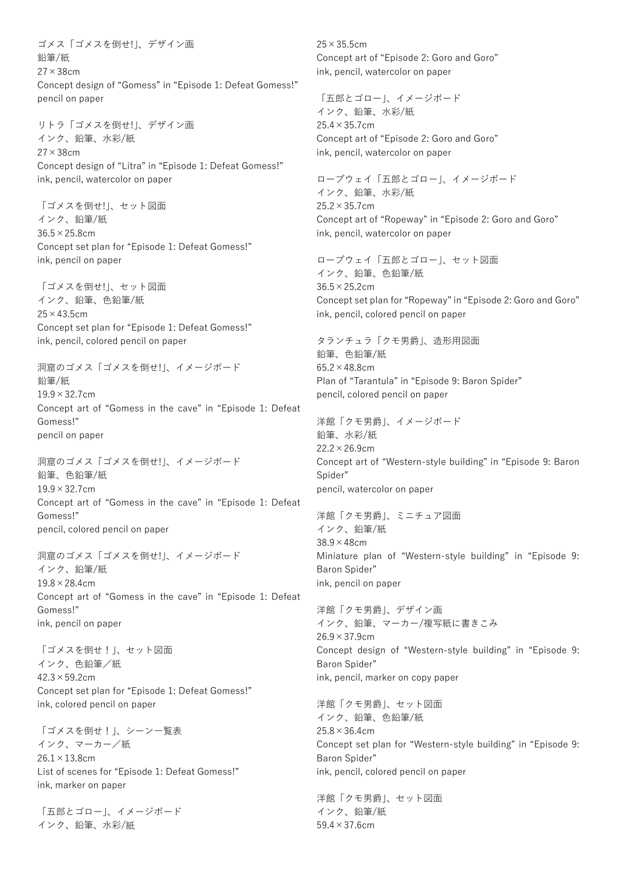ゴメス「ゴメスを倒せ!」、デザイン画 鉛筆/紙 27×38cm Concept design of "Gomess" in "Episode 1: Defeat Gomess!" pencil on paper

リトラ「ゴメスを倒せ!」、デザイン画 インク、鉛筆、水彩/紙 27×38cm Concept design of "Litra" in "Episode 1: Defeat Gomess!" ink, pencil, watercolor on paper

「ゴメスを倒せ!」、セット図面 インク、鉛筆/紙 36.5×25.8cm Concept set plan for "Episode 1: Defeat Gomess!" ink, pencil on paper

「ゴメスを倒せ!」、セット図面 インク、鉛筆、色鉛筆/紙  $25 \times 43.5$ cm Concept set plan for "Episode 1: Defeat Gomess!" ink, pencil, colored pencil on paper

洞窟のゴメス「ゴメスを倒せ!」、イメージボード 鉛筆/紙  $19.9 \times 32.7$ cm Concept art of "Gomess in the cave" in "Episode 1: Defeat Gomess!" pencil on paper

洞窟のゴメス「ゴメスを倒せ!」、イメージボード 鉛筆、色鉛筆/紙  $19.9 \times 32.7$ cm Concept art of "Gomess in the cave" in "Episode 1: Defeat Gomess!" pencil, colored pencil on paper

洞窟のゴメス「ゴメスを倒せ!」、イメージボード インク、鉛筆/紙  $19.8 \times 28.4$ cm Concept art of "Gomess in the cave" in "Episode 1: Defeat Gomess!" ink, pencil on paper

「ゴメスを倒せ!」、セット図面 インク、色鉛筆/紙  $42.3 \times 59.2$ cm Concept set plan for "Episode 1: Defeat Gomess!" ink, colored pencil on paper

「ゴメスを倒せ!」、シーン一覧表 インク、マーカー/紙  $26.1 \times 13.8$ cm List of scenes for "Episode 1: Defeat Gomess!" ink, marker on paper

「五郎とゴロー」、イメージボード インク、鉛筆、水彩/紙

25×35.5cm Concept art of "Episode 2: Goro and Goro" ink, pencil, watercolor on paper

「五郎とゴロー」、イメージボード インク、鉛筆、水彩/紙  $25.4 \times 35.7$ cm Concept art of "Episode 2: Goro and Goro" ink, pencil, watercolor on paper

ロープウェイ「五郎とゴロー」、イメージボード インク、鉛筆、水彩/紙  $25.2 \times 35.7$ cm Concept art of "Ropeway" in "Episode 2: Goro and Goro" ink, pencil, watercolor on paper

ロープウェイ「五郎とゴロー」、セット図面 インク、鉛筆、色鉛筆/紙 36.5×25.2cm Concept set plan for "Ropeway" in "Episode 2: Goro and Goro" ink, pencil, colored pencil on paper

タランチュラ「クモ男爵」、造形用図面 鉛筆、色鉛筆/紙 65.2×48.8cm Plan of "Tarantula" in "Episode 9: Baron Spider" pencil, colored pencil on paper

洋館「クモ男爵」、イメージボード 鉛筆、水彩/紙 22.2×26.9cm Concept art of "Western-style building" in "Episode 9: Baron Spider" pencil, watercolor on paper

洋館「クモ男爵」、ミニチュア図面 インク、鉛筆/紙 38.9×48cm Miniature plan of "Western-style building" in "Episode 9: Baron Spider" ink, pencil on paper

洋館「クモ男爵」、デザイン画 インク、鉛筆、マーカー/複写紙に書きこみ  $26.9 \times 37.9$ cm Concept design of "Western-style building" in "Episode 9: Baron Spider" ink, pencil, marker on copy paper

洋館「クモ男爵」、セット図面 インク、鉛筆、色鉛筆/紙 25.8×36.4cm Concept set plan for "Western-style building" in "Episode 9: Baron Spider" ink, pencil, colored pencil on paper

洋館「クモ男爵」、セット図面 インク、鉛筆/紙 59.4×37.6cm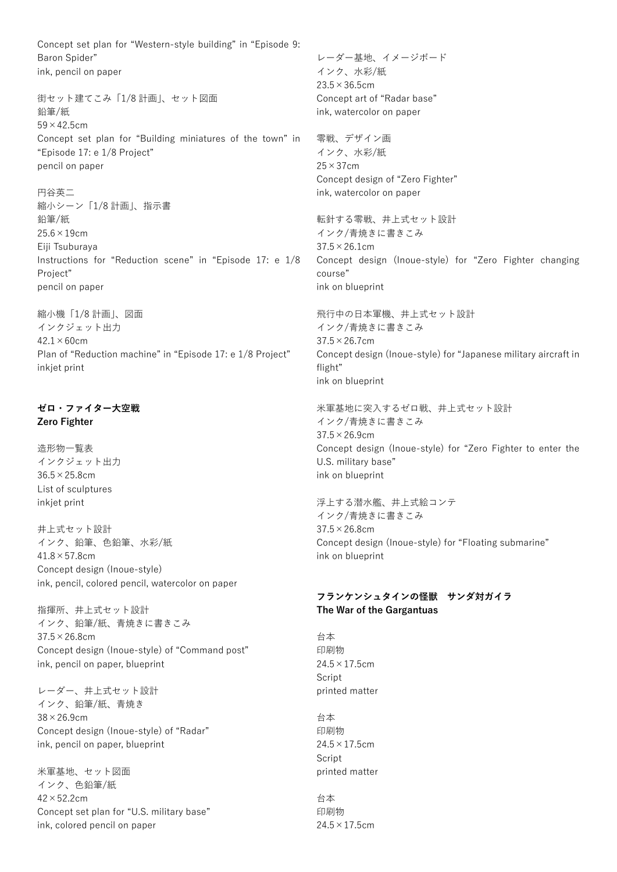Concept set plan for "Western-style building" in "Episode 9: Baron Spider" ink, pencil on paper

街セット建てこみ「1/8 計画」、セット図面 鉛筆/紙  $59 \times 42.5$ cm Concept set plan for "Building miniatures of the town" in "Episode 17: e 1/8 Project" pencil on paper

円谷英二 縮小シーン「1/8 計画」、指示書 鉛筆/紙 25.6×19cm Eiji Tsuburaya Instructions for "Reduction scene" in "Episode 17: e 1/8 Project" pencil on paper

縮小機「1/8 計画」、図面 インクジェット出力  $42.1 \times 60$ cm Plan of "Reduction machine" in "Episode 17: e 1/8 Project" inkjet print

## **ゼロ・ファイター大空戦 Zero Fighter**

造形物一覧表 インクジェット出力 36.5×25.8cm List of sculptures inkjet print

井上式セット設計 インク、鉛筆、色鉛筆、水彩/紙 41.8×57.8cm Concept design (Inoue-style) ink, pencil, colored pencil, watercolor on paper

指揮所、井上式セット設計 インク、鉛筆/紙、青焼きに書きこみ 37.5×26.8cm Concept design (Inoue-style) of "Command post" ink, pencil on paper, blueprint

レーダー、井上式セット設計 インク、鉛筆/紙、青焼き 38×26.9cm Concept design (Inoue-style) of "Radar" ink, pencil on paper, blueprint

米軍基地、セット図面 インク、色鉛筆/紙 42×52.2cm Concept set plan for "U.S. military base" ink, colored pencil on paper

レーダー基地、イメージボード インク、水彩/紙  $23.5 \times 36.5$ cm Concept art of "Radar base" ink, watercolor on paper

零戦、デザイン画 インク、水彩/紙 25×37cm Concept design of "Zero Fighter" ink, watercolor on paper

転針する零戦、井上式セット設計 インク/青焼きに書きこみ  $37.5 \times 26.1$ cm Concept design (Inoue-style) for "Zero Fighter changing course" ink on blueprint

飛行中の日本軍機、井上式セット設計 インク/青焼きに書きこみ 37.5×26.7cm Concept design (Inoue-style) for "Japanese military aircraft in flight" ink on blueprint

米軍基地に突入するゼロ戦、井上式セット設計 インク/青焼きに書きこみ 37.5×26.9cm Concept design (Inoue-style) for "Zero Fighter to enter the U.S. military base" ink on blueprint

浮上する潜水艦、井上式絵コンテ インク/青焼きに書きこみ 37.5×26.8cm Concept design (Inoue-style) for "Floating submarine" ink on blueprint

## **フランケンシュタインの怪獣 サンダ対ガイラ The War of the Gargantuas**

台本 印刷物  $24.5 \times 17.5$ cm **Script** printed matter

台本 印刷物  $24.5 \times 17.5$ cm **Script** printed matter

台本 印刷物  $24.5 \times 17.5$ cm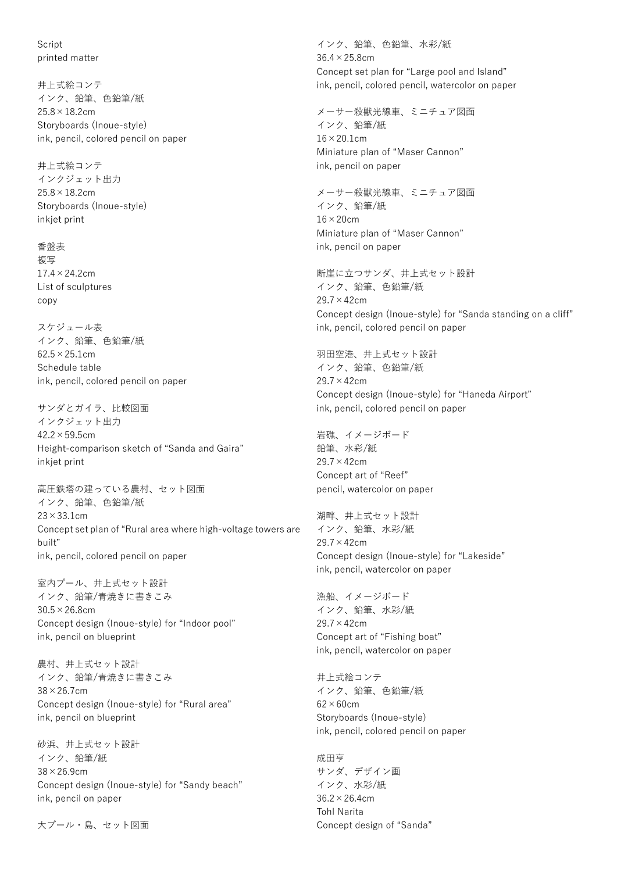**Script** printed matter

井上式絵コンテ インク、鉛筆、色鉛筆/紙 25.8×18.2cm Storyboards (Inoue-style) ink, pencil, colored pencil on paper

井上式絵コンテ インクジェット出力  $25.8 \times 18.2$ cm Storyboards (Inoue-style) inkjet print

香盤表 複写  $17.4 \times 24.2$ cm List of sculptures copy

スケジュール表 インク、鉛筆、色鉛筆/紙  $62.5 \times 25.1$ cm Schedule table ink, pencil, colored pencil on paper

サンダとガイラ、比較図面 インクジェット出力 42.2×59.5cm Height-comparison sketch of "Sanda and Gaira" inkiet print

高圧鉄塔の建っている農村、セット図面 インク、鉛筆、色鉛筆/紙  $23 \times 33.1$ cm Concept set plan of "Rural area where high-voltage towers are built" ink, pencil, colored pencil on paper

室内プール、井上式セット設計 インク、鉛筆/青焼きに書きこみ 30.5×26.8cm Concept design (Inoue-style) for "Indoor pool" ink, pencil on blueprint

農村、井上式セット設計 インク、鉛筆/青焼きに書きこみ 38×26.7cm Concept design (Inoue-style) for "Rural area" ink, pencil on blueprint

砂浜、井上式セット設計 インク、鉛筆/紙 38×26.9cm Concept design (Inoue-style) for "Sandy beach" ink, pencil on paper

大プール・島、セット図面

インク、鉛筆、色鉛筆、水彩/紙 36.4×25.8cm Concept set plan for "Large pool and Island" ink, pencil, colored pencil, watercolor on paper

メーサー殺獣光線車、ミニチュア図面 インク、鉛筆/紙  $16 \times 20.1$ cm Miniature plan of "Maser Cannon" ink, pencil on paper

メーサー殺獣光線車、ミニチュア図面 インク、鉛筆/紙  $16 \times 20$ cm Miniature plan of "Maser Cannon" ink, pencil on paper

断崖に立つサンダ、井上式セット設計 インク、鉛筆、色鉛筆/紙 29.7×42cm Concept design (Inoue-style) for "Sanda standing on a cliff" ink, pencil, colored pencil on paper

羽田空港、井上式セット設計 インク、鉛筆、色鉛筆/紙 29.7×42cm Concept design (Inoue-style) for "Haneda Airport" ink, pencil, colored pencil on paper

岩礁、イメージボード 鉛筆、水彩/紙 29.7×42cm Concept art of "Reef" pencil, watercolor on paper

湖畔、井上式セット設計 インク、鉛筆、水彩/紙 29.7×42cm Concept design (Inoue-style) for "Lakeside" ink, pencil, watercolor on paper

漁船、イメージボード インク、鉛筆、水彩/紙 29.7×42cm Concept art of "Fishing boat" ink, pencil, watercolor on paper

井上式絵コンテ インク、鉛筆、色鉛筆/紙  $62\times60$ cm Storyboards (Inoue-style) ink, pencil, colored pencil on paper

成田亨 サンダ、デザイン画 インク、水彩/紙 36.2×26.4cm Tohl Narita Concept design of "Sanda"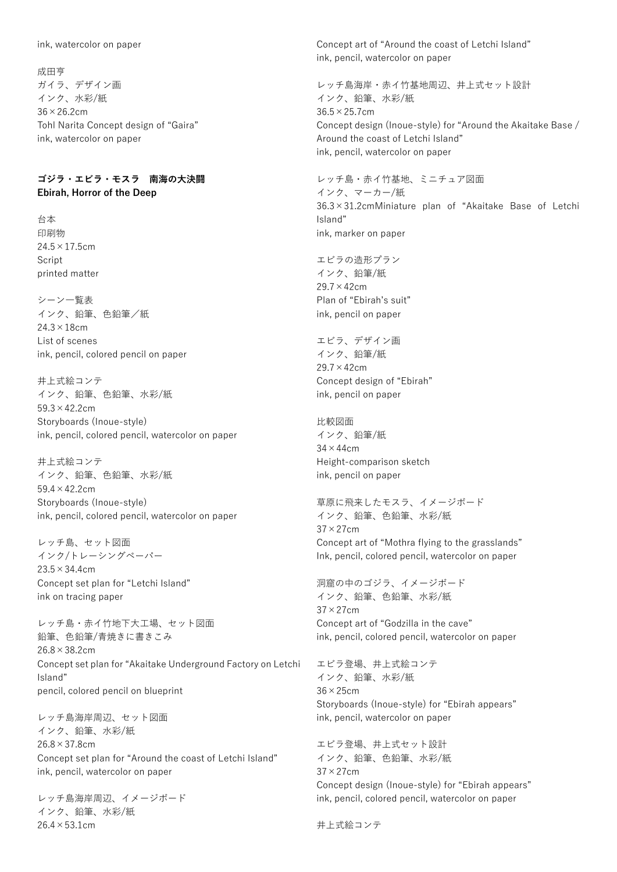ink, watercolor on paper

成田亨 ガイラ、デザイン画 インク、水彩/紙 36×26.2cm Tohl Narita Concept design of "Gaira" ink, watercolor on paper

# **ゴジラ・エビラ・モスラ 南海の大決闘 Ebirah, Horror of the Deep**

台本 印刷物  $24.5 \times 17.5$ cm Script printed matter

シーン一覧表 インク、鉛筆、色鉛筆/紙  $24.3 \times 18$ cm List of scenes ink, pencil, colored pencil on paper

井上式絵コンテ インク、鉛筆、色鉛筆、水彩/紙 59.3×42.2cm Storyboards (Inoue-style) ink, pencil, colored pencil, watercolor on paper

井上式絵コンテ インク、鉛筆、色鉛筆、水彩/紙 59.4×42.2cm Storyboards (Inoue-style) ink, pencil, colored pencil, watercolor on paper

レッチ島、セット図面 インク/トレーシングペーパー 23.5×34.4cm Concept set plan for "Letchi Island" ink on tracing paper

レッチ島・赤イ竹地下大工場、セット図面 鉛筆、色鉛筆/青焼きに書きこみ 26.8×38.2cm Concept set plan for "Akaitake Underground Factory on Letchi Island" pencil, colored pencil on blueprint

レッチ島海岸周辺、セット図面 インク、鉛筆、水彩/紙 26.8×37.8cm Concept set plan for "Around the coast of Letchi Island" ink, pencil, watercolor on paper

レッチ島海岸周辺、イメージボード インク、鉛筆、水彩/紙 26.4×53.1cm

Concept art of "Around the coast of Letchi Island" ink, pencil, watercolor on paper

レッチ島海岸・赤イ竹基地周辺、井上式セット設計 インク、鉛筆、水彩/紙 36.5×25.7cm Concept design (Inoue-style) for "Around the Akaitake Base / Around the coast of Letchi Island" ink, pencil, watercolor on paper

レッチ島・赤イ竹基地、ミニチュア図面 インク、マーカー/紙 36.3×31.2cmMiniature plan of "Akaitake Base of Letchi Island" ink, marker on paper

エビラの造形プラン インク、鉛筆/紙 29.7×42cm Plan of "Ebirah's suit" ink, pencil on paper

エビラ、デザイン画 インク、鉛筆/紙 29.7×42cm Concept design of "Ebirah" ink, pencil on paper

比較図面 インク、鉛筆/紙  $34 \times 44$ cm Height-comparison sketch ink, pencil on paper

草原に飛来したモスラ、イメージボード インク、鉛筆、色鉛筆、水彩/紙 37×27cm Concept art of "Mothra flying to the grasslands" Ink, pencil, colored pencil, watercolor on paper

洞窟の中のゴジラ、イメージボード インク、鉛筆、色鉛筆、水彩/紙 37×27cm Concept art of "Godzilla in the cave" ink, pencil, colored pencil, watercolor on paper

エビラ登場、井上式絵コンテ インク、鉛筆、水彩/紙 36×25cm Storyboards (Inoue-style) for "Ebirah appears" ink, pencil, watercolor on paper

エビラ登場、井上式セット設計 インク、鉛筆、色鉛筆、水彩/紙  $37 \times 27$ cm Concept design (Inoue-style) for "Ebirah appears" ink, pencil, colored pencil, watercolor on paper

井上式絵コンテ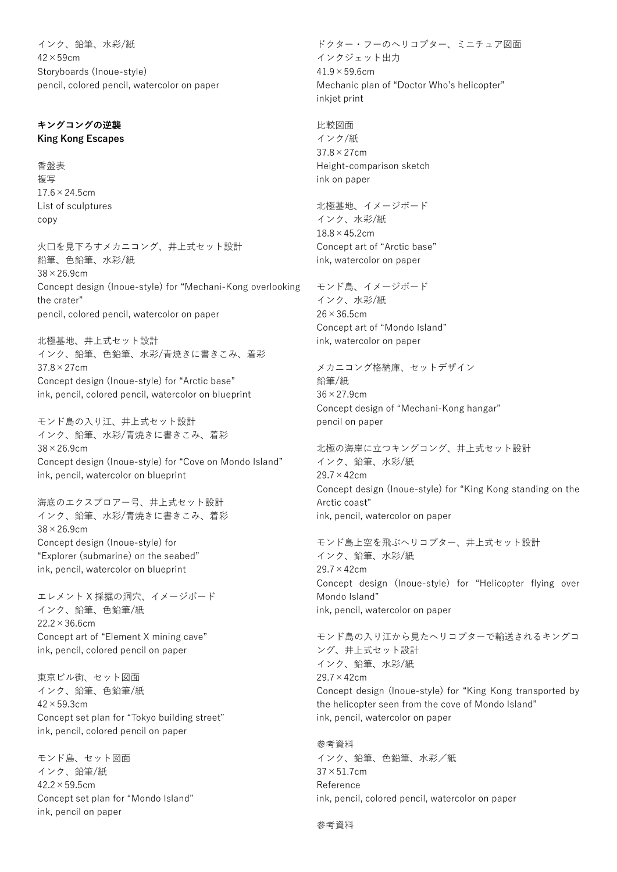インク、鉛筆、水彩/紙  $42 \times 59$ cm Storyboards (Inoue-style) pencil, colored pencil, watercolor on paper

#### **キングコングの逆襲 King Kong Escapes**

香盤表 複写  $17.6 \times 24.5$ cm List of sculptures copy

火口を見下ろすメカニコング、井上式セット設計 鉛筆、色鉛筆、水彩/紙 38×26.9cm Concept design (Inoue-style) for "Mechani-Kong overlooking the crater" pencil, colored pencil, watercolor on paper

北極基地、井上式セット設計 インク、鉛筆、色鉛筆、水彩/青焼きに書きこみ、着彩 37.8×27cm Concept design (Inoue-style) for "Arctic base" ink, pencil, colored pencil, watercolor on blueprint

モンド島の入り江、井上式セット設計 インク、鉛筆、水彩/青焼きに書きこみ、着彩 38×26.9cm Concept design (Inoue-style) for "Cove on Mondo Island" ink, pencil, watercolor on blueprint

海底のエクスプロアー号、井上式セット設計 インク、鉛筆、水彩/青焼きに書きこみ、着彩 38×26.9cm Concept design (Inoue-style) for "Explorer (submarine) on the seabed" ink, pencil, watercolor on blueprint

エレメント X 採掘の洞穴、イメージボード インク、鉛筆、色鉛筆/紙  $22.2 \times 36.6$ cm Concept art of "Element X mining cave" ink, pencil, colored pencil on paper

東京ビル街、セット図面 インク、鉛筆、色鉛筆/紙  $42 \times 59.3$ cm Concept set plan for "Tokyo building street" ink, pencil, colored pencil on paper

モンド島、セット図面 インク、鉛筆/紙  $42.2 \times 59.5$ cm Concept set plan for "Mondo Island" ink, pencil on paper

ドクター・フーのヘリコプター、ミニチュア図面 インクジェット出力  $41.9 \times 59.6$ cm Mechanic plan of "Doctor Who's helicopter" inkjet print

比較図面 インク/紙 37.8×27cm Height-comparison sketch ink on paper

北極基地、イメージボード インク、水彩/紙  $18.8 \times 45.2$ cm Concept art of "Arctic base" ink, watercolor on paper

モンド島、イメージボード インク、水彩/紙  $26 \times 36.5$ cm Concept art of "Mondo Island" ink, watercolor on paper

メカニコング格納庫、セットデザイン 鉛筆/紙 36×27.9cm Concept design of "Mechani-Kong hangar" pencil on paper

北極の海岸に立つキングコング、井上式セット設計 インク、鉛筆、水彩/紙 29.7×42cm Concept design (Inoue-style) for "King Kong standing on the Arctic coast" ink, pencil, watercolor on paper

モンド島上空を飛ぶヘリコプター、井上式セット設計 インク、鉛筆、水彩/紙 29.7×42cm Concept design (Inoue-style) for "Helicopter flying over Mondo Island" ink, pencil, watercolor on paper

モンド島の入り江から見たヘリコプターで輸送されるキングコ ング、井上式セット設計 インク、鉛筆、水彩/紙 29.7×42cm Concept design (Inoue-style) for "King Kong transported by the helicopter seen from the cove of Mondo Island" ink, pencil, watercolor on paper

参考資料 インク、鉛筆、色鉛筆、水彩/紙 37×51.7cm Reference ink, pencil, colored pencil, watercolor on paper

参考資料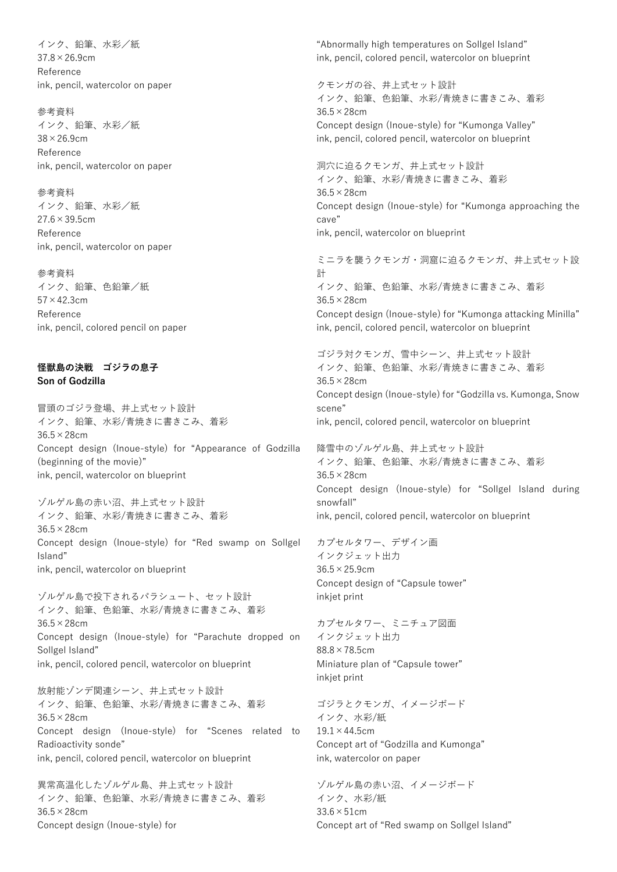インク、鉛筆、水彩/紙 37.8×26.9cm Reference ink, pencil, watercolor on paper

参考資料 インク、鉛筆、水彩/紙 38×26.9cm Reference ink, pencil, watercolor on paper

参考資料 インク、鉛筆、水彩/紙 27.6×39.5cm Reference ink, pencil, watercolor on paper

参考資料 インク、鉛筆、色鉛筆/紙  $57 \times 42.3$ cm Reference ink, pencil, colored pencil on paper

#### **怪獣島の決戦 ゴジラの息子 Son of Godzilla**

冒頭のゴジラ登場、井上式セット設計 インク、鉛筆、水彩/青焼きに書きこみ、着彩 36.5×28cm Concept design (Inoue-style) for "Appearance of Godzilla (beginning of the movie)" ink, pencil, watercolor on blueprint

ゾルゲル島の赤い沼、井上式セット設計 インク、鉛筆、水彩/青焼きに書きこみ、着彩 36.5×28cm Concept design (Inoue-style) for "Red swamp on Sollgel Island" ink, pencil, watercolor on blueprint

ゾルゲル島で投下されるパラシュート、セット設計 インク、鉛筆、色鉛筆、水彩/青焼きに書きこみ、着彩 36.5×28cm Concept design (Inoue-style) for "Parachute dropped on Sollgel Island" ink, pencil, colored pencil, watercolor on blueprint

放射能ゾンデ関連シーン、井上式セット設計 インク、鉛筆、色鉛筆、水彩/青焼きに書きこみ、着彩 36.5×28cm Concept design (Inoue-style) for "Scenes related to Radioactivity sonde" ink, pencil, colored pencil, watercolor on blueprint

異常高温化したゾルゲル島、井上式セット設計 インク、鉛筆、色鉛筆、水彩/青焼きに書きこみ、着彩 36.5×28cm Concept design (Inoue-style) for

"Abnormally high temperatures on Sollgel Island" ink, pencil, colored pencil, watercolor on blueprint

クモンガの谷、井上式セット設計 インク、鉛筆、色鉛筆、水彩/青焼きに書きこみ、着彩 36.5×28cm Concept design (Inoue-style) for "Kumonga Valley" ink, pencil, colored pencil, watercolor on blueprint

洞穴に迫るクモンガ、井上式セット設計 インク、鉛筆、水彩/青焼きに書きこみ、着彩 36.5×28cm Concept design (Inoue-style) for "Kumonga approaching the cave" ink, pencil, watercolor on blueprint

ミニラを襲うクモンガ・洞窟に迫るクモンガ、井上式セット設 計 インク、鉛筆、色鉛筆、水彩/青焼きに書きこみ、着彩 36.5×28cm Concept design (Inoue-style) for "Kumonga attacking Minilla" ink, pencil, colored pencil, watercolor on blueprint

ゴジラ対クモンガ、雪中シーン、井上式セット設計 インク、鉛筆、色鉛筆、水彩/青焼きに書きこみ、着彩 36.5×28cm Concept design (Inoue-style) for "Godzilla vs. Kumonga, Snow scene" ink, pencil, colored pencil, watercolor on blueprint

降雪中のゾルゲル島、井上式セット設計 インク、鉛筆、色鉛筆、水彩/青焼きに書きこみ、着彩 36.5×28cm Concept design (Inoue-style) for "Sollgel Island during snowfall" ink, pencil, colored pencil, watercolor on blueprint

カプセルタワー、デザイン画 インクジェット出力 36.5×25.9cm Concept design of "Capsule tower" inkjet print

カプセルタワー、ミニチュア図面 インクジェット出力 88.8×78.5cm Miniature plan of "Capsule tower" inkjet print

ゴジラとクモンガ、イメージボード インク、水彩/紙  $19.1 \times 44.5$ cm Concept art of "Godzilla and Kumonga" ink, watercolor on paper

ゾルゲル島の赤い沼、イメージボード インク、水彩/紙 33.6×51cm Concept art of "Red swamp on Sollgel Island"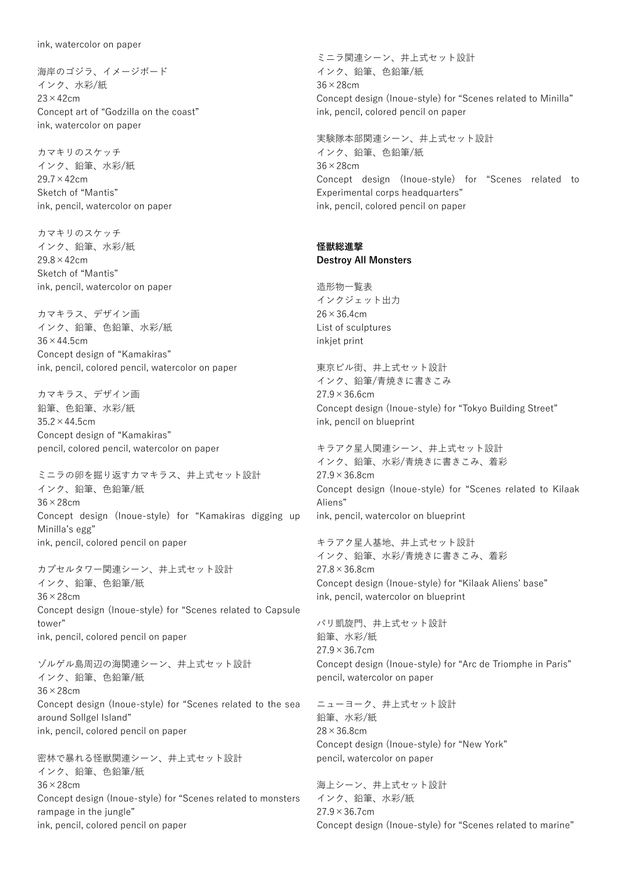海岸のゴジラ、イメージボード インク、水彩/紙 23×42cm Concept art of "Godzilla on the coast" ink, watercolor on paper

カマキリのスケッチ インク、鉛筆、水彩/紙 29.7×42cm Sketch of "Mantis" ink, pencil, watercolor on paper

カマキリのスケッチ インク、鉛筆、水彩/紙 29.8×42cm Sketch of "Mantis" ink, pencil, watercolor on paper

カマキラス、デザイン画 インク、鉛筆、色鉛筆、水彩/紙 36×44.5cm Concept design of "Kamakiras" ink, pencil, colored pencil, watercolor on paper

カマキラス、デザイン画 鉛筆、色鉛筆、水彩/紙  $35.2 \times 44.5$ cm Concept design of "Kamakiras" pencil, colored pencil, watercolor on paper

ミニラの卵を掘り返すカマキラス、井上式セット設計 インク、鉛筆、色鉛筆/紙 36×28cm Concept design (Inoue-style) for "Kamakiras digging up Minilla's egg" ink, pencil, colored pencil on paper

カプセルタワー関連シーン、井上式セット設計 インク、鉛筆、色鉛筆/紙 36×28cm Concept design (Inoue-style) for "Scenes related to Capsule tower" ink, pencil, colored pencil on paper

ゾルゲル島周辺の海関連シーン、井上式セット設計 インク、鉛筆、色鉛筆/紙 36×28cm Concept design (Inoue-style) for "Scenes related to the sea around Sollgel Island" ink, pencil, colored pencil on paper

密林で暴れる怪獣関連シーン、井上式セット設計 インク、鉛筆、色鉛筆/紙 36×28cm Concept design (Inoue-style) for "Scenes related to monsters rampage in the jungle" ink, pencil, colored pencil on paper

ミニラ関連シーン、井上式セット設計 インク、鉛筆、色鉛筆/紙 36×28cm Concept design (Inoue-style) for "Scenes related to Minilla" ink, pencil, colored pencil on paper

実験隊本部関連シーン、井上式セット設計 インク、鉛筆、色鉛筆/紙 36×28cm Concept design (Inoue-style) for "Scenes related to Experimental corps headquarters" ink, pencil, colored pencil on paper

# **怪獣総進撃**

**Destroy All Monsters**

造形物一覧表 インクジェット出力  $26 \times 36.4$ cm List of sculptures inkjet print

東京ビル街、井上式セット設計 インク、鉛筆/青焼きに書きこみ  $27.9 \times 36.6$ cm Concept design (Inoue-style) for "Tokyo Building Street" ink, pencil on blueprint

キラアク星人関連シーン、井上式セット設計 インク、鉛筆、水彩/青焼きに書きこみ、着彩 27.9×36.8cm Concept design (Inoue-style) for "Scenes related to Kilaak Aliens" ink, pencil, watercolor on blueprint

キラアク星人基地、井上式セット設計 インク、鉛筆、水彩/青焼きに書きこみ、着彩 27.8×36.8cm Concept design (Inoue-style) for "Kilaak Aliens' base" ink, pencil, watercolor on blueprint

パリ凱旋門、井上式セット設計 鉛筆、水彩/紙  $27.9 \times 36.7$ cm Concept design (Inoue-style) for "Arc de Triomphe in Paris" pencil, watercolor on paper

ニューヨーク、井上式セット設計 鉛筆、水彩/紙 28×36.8cm Concept design (Inoue-style) for "New York" pencil, watercolor on paper

海上シーン、井上式セット設計 インク、鉛筆、水彩/紙 27.9×36.7cm Concept design (Inoue-style) for "Scenes related to marine"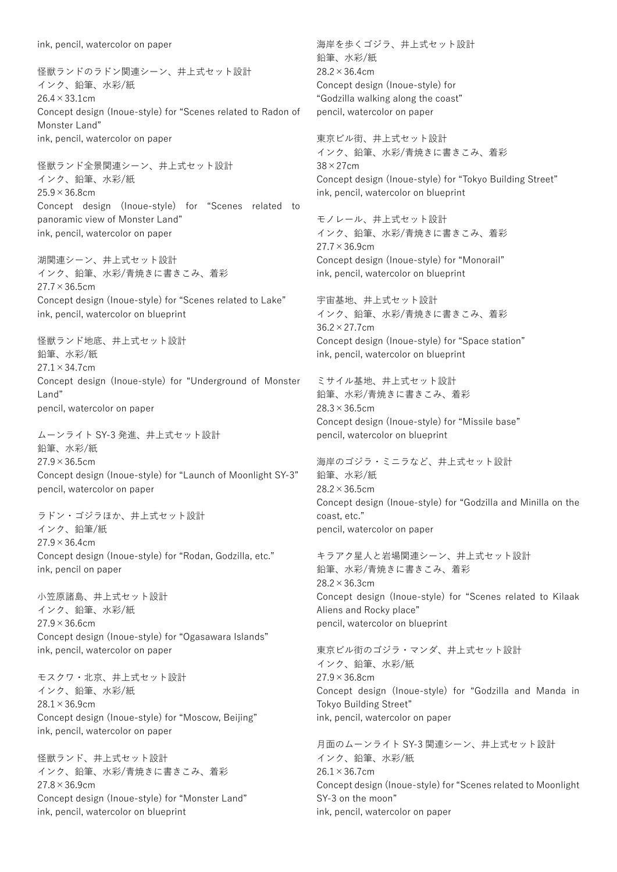ink, pencil, watercolor on paper

怪獣ランドのラドン関連シーン、井上式セット設計 インク、鉛筆、水彩/紙 26.4×33.1cm Concept design (Inoue-style) for "Scenes related to Radon of Monster Land" ink, pencil, watercolor on paper

怪獣ランド全景関連シーン、井上式セット設計 インク、鉛筆、水彩/紙  $25.9 \times 36.8$ cm Concept design (Inoue-style) for "Scenes related to panoramic view of Monster Land" ink, pencil, watercolor on paper

湖関連シーン、井上式セット設計 インク、鉛筆、水彩/青焼きに書きこみ、着彩 27.7×36.5cm Concept design (Inoue-style) for "Scenes related to Lake" ink, pencil, watercolor on blueprint

怪獣ランド地底、井上式セット設計 鉛筆、水彩/紙 27.1×34.7cm Concept design (Inoue-style) for "Underground of Monster Land" pencil, watercolor on paper

ムーンライト SY-3 発進、井上式セット設計 鉛筆、水彩/紙  $27.9 \times 36.5$ cm Concept design (Inoue-style) for "Launch of Moonlight SY-3" pencil, watercolor on paper

ラドン・ゴジラほか、井上式セット設計 インク、鉛筆/紙  $27.9 \times 36.4$ cm Concept design (Inoue-style) for "Rodan, Godzilla, etc." ink, pencil on paper

小笠原諸島、井上式セット設計 インク、鉛筆、水彩/紙  $27.9 \times 36.6$ cm Concept design (Inoue-style) for "Ogasawara Islands" ink, pencil, watercolor on paper

モスクワ・北京、井上式セット設計 インク、鉛筆、水彩/紙 28.1×36.9cm Concept design (Inoue-style) for "Moscow, Beijing" ink, pencil, watercolor on paper

怪獣ランド、井上式セット設計 インク、鉛筆、水彩/青焼きに書きこみ、着彩 27.8×36.9cm Concept design (Inoue-style) for "Monster Land" ink, pencil, watercolor on blueprint

海岸を歩くゴジラ、井上式セット設計 鉛筆、水彩/紙 28.2×36.4cm Concept design (Inoue-style) for "Godzilla walking along the coast" pencil, watercolor on paper

東京ビル街、井上式セット設計 インク、鉛筆、水彩/青焼きに書きこみ、着彩 38×27cm Concept design (Inoue-style) for "Tokyo Building Street" ink, pencil, watercolor on blueprint

モノレール、井上式セット設計 インク、鉛筆、水彩/青焼きに書きこみ、着彩  $27.7 \times 36.9$ cm Concept design (Inoue-style) for "Monorail" ink, pencil, watercolor on blueprint

宇宙基地、井上式セット設計 インク、鉛筆、水彩/青焼きに書きこみ、着彩 36.2×27.7cm Concept design (Inoue-style) for "Space station" ink, pencil, watercolor on blueprint

ミサイル基地、井上式セット設計 鉛筆、水彩/青焼きに書きこみ、着彩 28.3×36.5cm Concept design (Inoue-style) for "Missile base" pencil, watercolor on blueprint

海岸のゴジラ・ミニラなど、井上式セット設計 鉛筆、水彩/紙  $28.2 \times 36.5$ cm Concept design (Inoue-style) for "Godzilla and Minilla on the coast, etc." pencil, watercolor on paper

キラアク星人と岩場関連シーン、井上式セット設計 鉛筆、水彩/青焼きに書きこみ、着彩 28.2×36.3cm Concept design (Inoue-style) for "Scenes related to Kilaak Aliens and Rocky place" pencil, watercolor on blueprint

東京ビル街のゴジラ・マンダ、井上式セット設計 インク、鉛筆、水彩/紙  $27.9 \times 36.8$ cm Concept design (Inoue-style) for "Godzilla and Manda in Tokyo Building Street" ink, pencil, watercolor on paper

月面のムーンライト SY-3 関連シーン、井上式セット設計 インク、鉛筆、水彩/紙  $26.1 \times 36.7$ cm Concept design (Inoue-style) for "Scenes related to Moonlight SY-3 on the moon" ink, pencil, watercolor on paper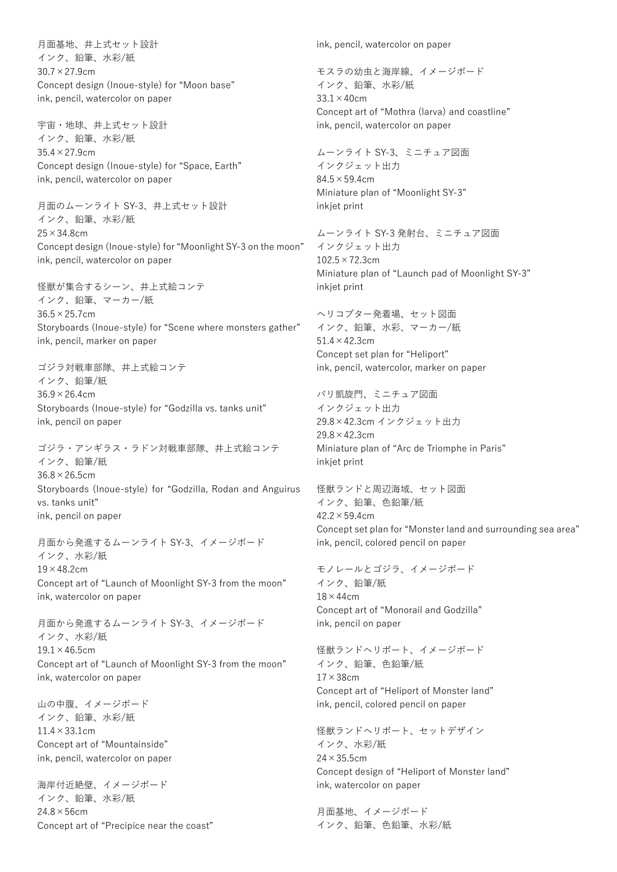月面基地、井上式セット設計 インク、鉛筆、水彩/紙 30.7×27.9cm Concept design (Inoue-style) for "Moon base" ink, pencil, watercolor on paper

宇宙・地球、井上式セット設計 インク、鉛筆、水彩/紙 35.4×27.9cm Concept design (Inoue-style) for "Space, Earth" ink, pencil, watercolor on paper

月面のムーンライト SY-3、井上式セット設計 インク、鉛筆、水彩/紙 25×34.8cm Concept design (Inoue-style) for "Moonlight SY-3 on the moon" ink, pencil, watercolor on paper

怪獣が集合するシーン、井上式絵コンテ インク、鉛筆、マーカー/紙 36.5×25.7cm Storyboards (Inoue-style) for "Scene where monsters gather" ink, pencil, marker on paper

ゴジラ対戦車部隊、井上式絵コンテ インク、鉛筆/紙  $36.9 \times 26.4$ cm Storyboards (Inoue-style) for "Godzilla vs. tanks unit" ink, pencil on paper

ゴジラ・アンギラス・ラドン対戦車部隊、井上式絵コンテ インク、鉛筆/紙 36.8×26.5cm Storyboards (Inoue-style) for "Godzilla, Rodan and Anguirus vs. tanks unit" ink, pencil on paper

月面から発進するムーンライト SY-3、イメージボード インク、水彩/紙  $19 \times 48.2$ cm Concept art of "Launch of Moonlight SY-3 from the moon" ink, watercolor on paper

月面から発進するムーンライト SY-3、イメージボード インク、水彩/紙  $19.1 \times 46.5$ cm Concept art of "Launch of Moonlight SY-3 from the moon" ink, watercolor on paper

山の中腹、イメージボード インク、鉛筆、水彩/紙 11.4×33.1cm Concept art of "Mountainside" ink, pencil, watercolor on paper

海岸付近絶壁、イメージボード インク、鉛筆、水彩/紙 24.8×56cm Concept art of "Precipice near the coast" ink, pencil, watercolor on paper

モスラの幼虫と海岸線、イメージボード インク、鉛筆、水彩/紙  $33.1 \times 40$ cm Concept art of "Mothra (larva) and coastline" ink, pencil, watercolor on paper

ムーンライト SY-3、ミニチュア図面 インクジェット出力 84.5×59.4cm Miniature plan of "Moonlight SY-3" inkjet print

ムーンライト SY-3 発射台、ミニチュア図面 インクジェット出力  $102.5 \times 72.3$ cm Miniature plan of "Launch pad of Moonlight SY-3" inkjet print

ヘリコプター発着場、セット図面 インク、鉛筆、水彩、マーカー/紙 51.4×42.3cm Concept set plan for "Heliport" ink, pencil, watercolor, marker on paper

パリ凱旋門、ミニチュア図面 インクジェット出力 29.8×42.3cm インクジェット出力 29.8×42.3cm Miniature plan of "Arc de Triomphe in Paris" inkjet print

怪獣ランドと周辺海域、セット図面 インク、鉛筆、色鉛筆/紙 42.2×59.4cm Concept set plan for "Monster land and surrounding sea area" ink, pencil, colored pencil on paper

モノレールとゴジラ、イメージボード インク、鉛筆/紙  $18 \times 44$ cm Concept art of "Monorail and Godzilla" ink, pencil on paper

怪獣ランドヘリポート、イメージボード インク、鉛筆、色鉛筆/紙  $17 \times 38$ cm Concept art of "Heliport of Monster land" ink, pencil, colored pencil on paper

怪獣ランドヘリポート、セットデザイン インク、水彩/紙  $24 \times 35.5$ cm Concept design of "Heliport of Monster land" ink, watercolor on paper

月面基地、イメージボード インク、鉛筆、色鉛筆、水彩/紙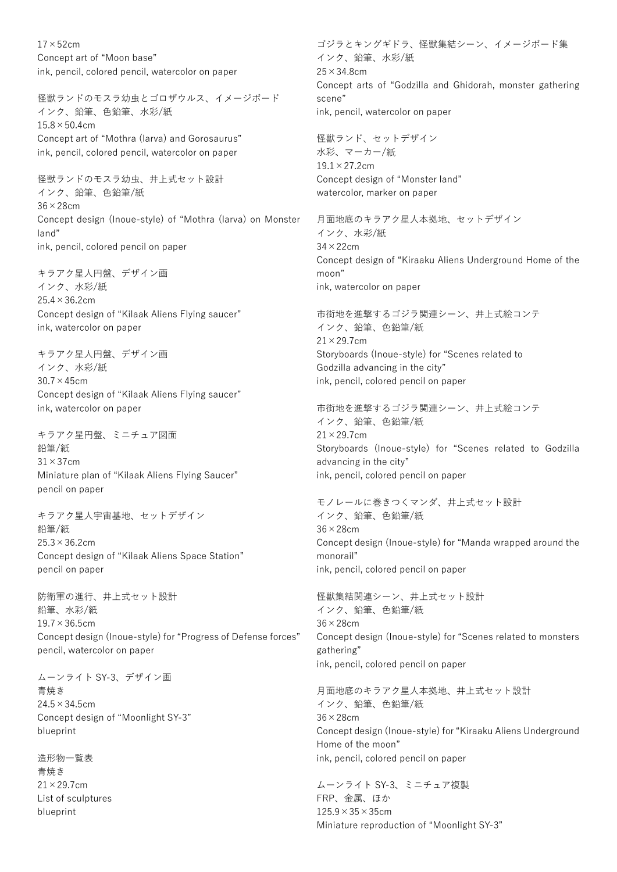$17\times52$ cm Concept art of "Moon base" ink, pencil, colored pencil, watercolor on paper

怪獣ランドのモスラ幼虫とゴロザウルス、イメージボード インク、鉛筆、色鉛筆、水彩/紙  $15.8 \times 50.4$ cm Concept art of "Mothra (larva) and Gorosaurus" ink, pencil, colored pencil, watercolor on paper

怪獣ランドのモスラ幼虫、井上式セット設計 インク、鉛筆、色鉛筆/紙 36×28cm Concept design (Inoue-style) of "Mothra (larva) on Monster land" ink, pencil, colored pencil on paper

キラアク星人円盤、デザイン画 インク、水彩/紙 25.4×36.2cm Concept design of "Kilaak Aliens Flying saucer" ink, watercolor on paper

キラアク星人円盤、デザイン画 インク、水彩/紙  $30.7 \times 45$ cm Concept design of "Kilaak Aliens Flying saucer" ink, watercolor on paper

キラアク星円盤、ミニチュア図面 鉛筆/紙  $31 \times 37$ cm Miniature plan of "Kilaak Aliens Flying Saucer" pencil on paper

キラアク星人宇宙基地、セットデザイン 鉛筆/紙 25.3×36.2cm Concept design of "Kilaak Aliens Space Station" pencil on paper

防衛軍の進行、井上式セット設計 鉛筆、水彩/紙  $19.7 \times 36.5$ cm Concept design (Inoue-style) for "Progress of Defense forces" pencil, watercolor on paper

ムーンライト SY-3、デザイン画

青焼き 24.5×34.5cm Concept design of "Moonlight SY-3" blueprint

造形物一覧表 青焼き 21×29.7cm List of sculptures blueprint

ゴジラとキングギドラ、怪獣集結シーン、イメージボード集 インク、鉛筆、水彩/紙 25×34.8cm Concept arts of "Godzilla and Ghidorah, monster gathering scene" ink, pencil, watercolor on paper

怪獣ランド、セットデザイン 水彩、マーカー/紙  $19.1 \times 27.2$ cm Concept design of "Monster land" watercolor, marker on paper

月面地底のキラアク星人本拠地、セットデザイン インク、水彩/紙 34×22cm Concept design of "Kiraaku Aliens Underground Home of the moon" ink, watercolor on paper

市街地を進撃するゴジラ関連シーン、井上式絵コンテ インク、鉛筆、色鉛筆/紙 21×29.7cm Storyboards (Inoue-style) for "Scenes related to Godzilla advancing in the city" ink, pencil, colored pencil on paper

市街地を進撃するゴジラ関連シーン、井上式絵コンテ インク、鉛筆、色鉛筆/紙 21×29.7cm Storyboards (Inoue-style) for "Scenes related to Godzilla advancing in the city" ink, pencil, colored pencil on paper

モノレールに巻きつくマンダ、井上式セット設計 インク、鉛筆、色鉛筆/紙 36×28cm Concept design (Inoue-style) for "Manda wrapped around the monorail" ink, pencil, colored pencil on paper

怪獣集結関連シーン、井上式セット設計 インク、鉛筆、色鉛筆/紙 36×28cm Concept design (Inoue-style) for "Scenes related to monsters gathering" ink, pencil, colored pencil on paper

月面地底のキラアク星人本拠地、井上式セット設計 インク、鉛筆、色鉛筆/紙 36×28cm Concept design (Inoue-style) for "Kiraaku Aliens Underground Home of the moon" ink, pencil, colored pencil on paper

ムーンライト SY-3、ミニチュア複製 FRP、金属、ほか  $125.9 \times 35 \times 35$ cm Miniature reproduction of "Moonlight SY-3"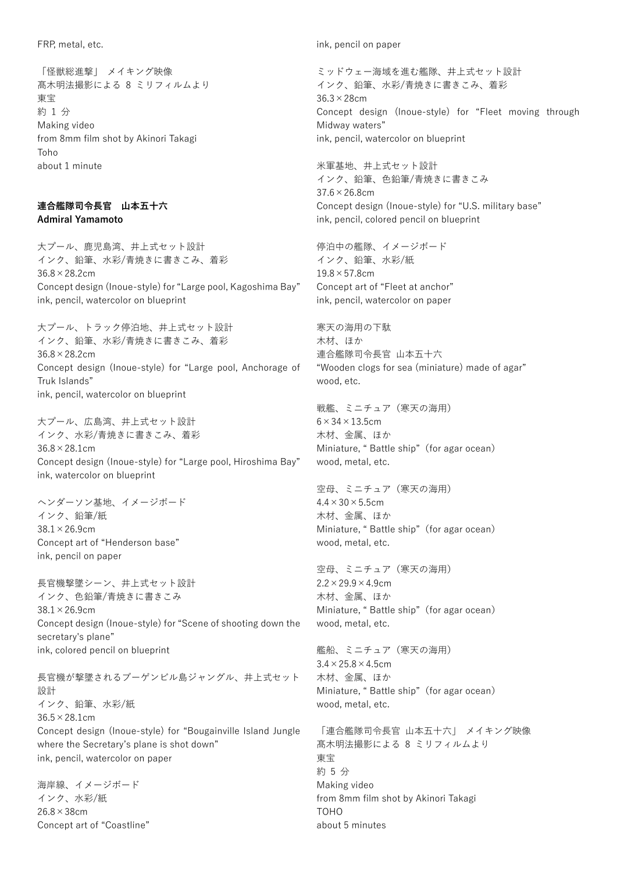FRP, metal, etc.

「怪獣総進撃」 メイキング映像 髙木明法撮影による 8 ミリフィルムより 東宝 約 1 分 Making video from 8mm film shot by Akinori Takagi Toho about 1 minute

#### **連合艦隊司令長官 山本五十六 Admiral Yamamoto**

大プール、鹿児島湾、井上式セット設計 インク、鉛筆、水彩/青焼きに書きこみ、着彩 36.8×28.2cm Concept design (Inoue-style) for "Large pool, Kagoshima Bay" ink, pencil, watercolor on blueprint

大プール、トラック停泊地、井上式セット設計 インク、鉛筆、水彩/青焼きに書きこみ、着彩 36.8×28.2cm Concept design (Inoue-style) for "Large pool, Anchorage of Truk Islands" ink, pencil, watercolor on blueprint

大プール、広島湾、井上式セット設計 インク、水彩/青焼きに書きこみ、着彩 36.8×28.1cm Concept design (Inoue-style) for "Large pool, Hiroshima Bay" ink, watercolor on blueprint

ヘンダーソン基地、イメージボード インク、鉛筆/紙 38.1×26.9cm Concept art of "Henderson base" ink, pencil on paper

長官機撃墜シーン、井上式セット設計 インク、色鉛筆/青焼きに書きこみ 38.1×26.9cm Concept design (Inoue-style) for "Scene of shooting down the secretary's plane" ink, colored pencil on blueprint

長官機が撃墜されるブーゲンビル島ジャングル、井上式セット 設計 インク、鉛筆、水彩/紙 36.5×28.1cm Concept design (Inoue-style) for "Bougainville Island Jungle where the Secretary's plane is shot down" ink, pencil, watercolor on paper

海岸線、イメージボード インク、水彩/紙 26.8×38cm Concept art of "Coastline" ink, pencil on paper

ミッドウェー海域を進む艦隊、井上式セット設計 インク、鉛筆、水彩/青焼きに書きこみ、着彩 36.3×28cm Concept design (Inoue-style) for "Fleet moving through Midway waters" ink, pencil, watercolor on blueprint

米軍基地、井上式セット設計 インク、鉛筆、色鉛筆/青焼きに書きこみ 37.6×26.8cm Concept design (Inoue-style) for "U.S. military base" ink, pencil, colored pencil on blueprint

停泊中の艦隊、イメージボード インク、鉛筆、水彩/紙  $19.8 \times 57.8$ cm Concept art of "Fleet at anchor" ink, pencil, watercolor on paper

寒天の海用の下駄 木材、ほか 連合艦隊司令長官 山本五十六 "Wooden clogs for sea (miniature) made of agar" wood, etc.

戦艦、ミニチュア(寒天の海用)  $6 \times 34 \times 13.5$ cm 木材、金属、ほか Miniature, " Battle ship"(for agar ocean) wood, metal, etc.

空母、ミニチュア(寒天の海用)  $4.4 \times 30 \times 5.5$ cm 木材、金属、ほか Miniature, " Battle ship"(for agar ocean) wood, metal, etc.

空母、ミニチュア(寒天の海用)  $2.2 \times 29.9 \times 4.9$ cm 木材、金属、ほか Miniature, " Battle ship"(for agar ocean) wood, metal, etc.

艦船、ミニチュア(寒天の海用)  $3.4 \times 25.8 \times 4.5$ cm 木材、金属、ほか Miniature, " Battle ship"(for agar ocean) wood, metal, etc.

「連合艦隊司令長官 山本五十六」 メイキング映像 髙木明法撮影による 8 ミリフィルムより 東宝 約 5 分 Making video from 8mm film shot by Akinori Takagi TOHO about 5 minutes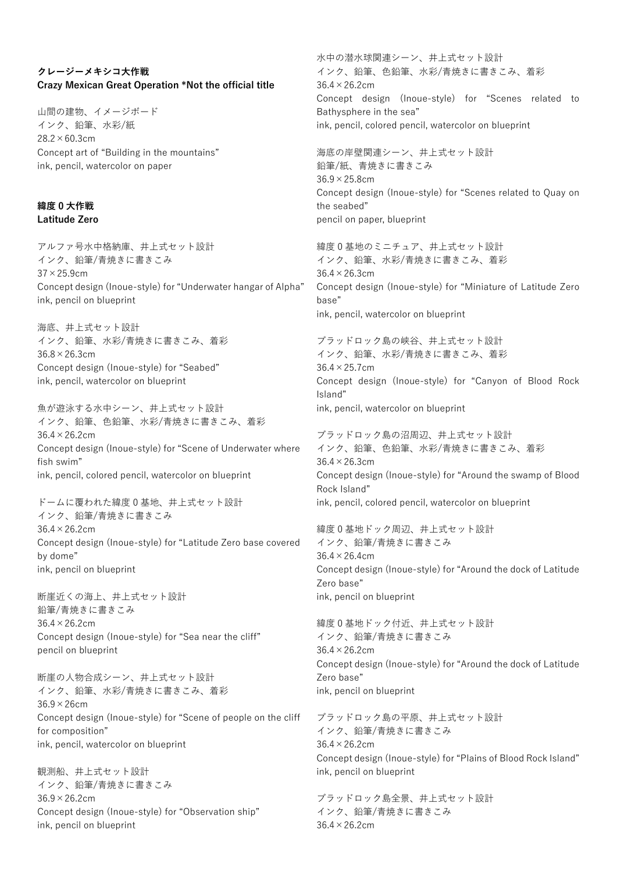## **クレージーメキシコ大作戦 Crazy Mexican Great Operation \*Not the official title**

山間の建物、イメージボード インク、鉛筆、水彩/紙  $28.2 \times 60.3$ cm Concept art of "Building in the mountains" ink, pencil, watercolor on paper

#### **緯度 0 大作戦 Latitude Zero**

アルファ号水中格納庫、井上式セット設計 インク、鉛筆/青焼きに書きこみ  $37 \times 25.9$ cm Concept design (Inoue-style) for "Underwater hangar of Alpha" ink, pencil on blueprint

海底、井上式セット設計 インク、鉛筆、水彩/青焼きに書きこみ、着彩 36.8×26.3cm Concept design (Inoue-style) for "Seabed" ink, pencil, watercolor on blueprint

魚が遊泳する水中シーン、井上式セット設計 インク、鉛筆、色鉛筆、水彩/青焼きに書きこみ、着彩 36.4×26.2cm Concept design (Inoue-style) for "Scene of Underwater where fish swim" ink, pencil, colored pencil, watercolor on blueprint

ドームに覆われた緯度 0 基地、井上式セット設計 インク、鉛筆/青焼きに書きこみ 36.4×26.2cm Concept design (Inoue-style) for "Latitude Zero base covered by dome" ink, pencil on blueprint

断崖近くの海上、井上式セット設計 鉛筆/青焼きに書きこみ 36.4×26.2cm Concept design (Inoue-style) for "Sea near the cliff" pencil on blueprint

断崖の人物合成シーン、井上式セット設計 インク、鉛筆、水彩/青焼きに書きこみ、着彩 36.9×26cm Concept design (Inoue-style) for "Scene of people on the cliff for composition" ink, pencil, watercolor on blueprint

観測船、井上式セット設計 インク、鉛筆/青焼きに書きこみ 36.9×26.2cm Concept design (Inoue-style) for "Observation ship" ink, pencil on blueprint

水中の潜水球関連シーン、井上式セット設計 インク、鉛筆、色鉛筆、水彩/青焼きに書きこみ、着彩  $36.4 \times 26.2$ cm Concept design (Inoue-style) for "Scenes related to Bathysphere in the sea" ink, pencil, colored pencil, watercolor on blueprint

海底の岸壁関連シーン、井上式セット設計 鉛筆/紙、青焼きに書きこみ 36.9×25.8cm Concept design (Inoue-style) for "Scenes related to Quay on the seabed" pencil on paper, blueprint

緯度 0 基地のミニチュア、井上式セット設計 インク、鉛筆、水彩/青焼きに書きこみ、着彩 36.4×26.3cm Concept design (Inoue-style) for "Miniature of Latitude Zero base" ink, pencil, watercolor on blueprint

ブラッドロック島の峡谷、井上式セット設計 インク、鉛筆、水彩/青焼きに書きこみ、着彩 36.4×25.7cm Concept design (Inoue-style) for "Canyon of Blood Rock Island" ink, pencil, watercolor on blueprint

ブラッドロック島の沼周辺、井上式セット設計 インク、鉛筆、色鉛筆、水彩/青焼きに書きこみ、着彩 36.4×26.3cm Concept design (Inoue-style) for "Around the swamp of Blood Rock Island" ink, pencil, colored pencil, watercolor on blueprint

緯度 0 基地ドック周辺、井上式セット設計 インク、鉛筆/青焼きに書きこみ 36.4×26.4cm Concept design (Inoue-style) for "Around the dock of Latitude Zero base" ink, pencil on blueprint

緯度 0 基地ドック付近、井上式セット設計 インク、鉛筆/青焼きに書きこみ 36.4×26.2cm Concept design (Inoue-style) for "Around the dock of Latitude Zero base" ink, pencil on blueprint

ブラッドロック島の平原、井上式セット設計 インク、鉛筆/青焼きに書きこみ 36.4×26.2cm Concept design (Inoue-style) for "Plains of Blood Rock Island" ink, pencil on blueprint

ブラッドロック島全景、井上式セット設計 インク、鉛筆/青焼きに書きこみ 36.4×26.2cm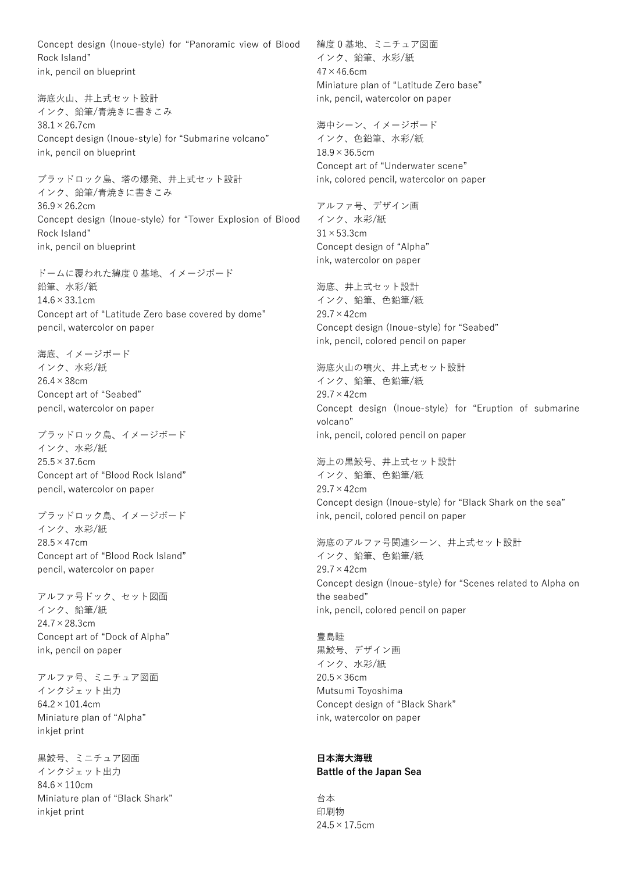Concept design (Inoue-style) for "Panoramic view of Blood Rock Island" ink, pencil on blueprint

海底火山、井上式セット設計 インク、鉛筆/青焼きに書きこみ  $38.1 \times 26.7$ cm Concept design (Inoue-style) for "Submarine volcano" ink, pencil on blueprint

ブラッドロック島、塔の爆発、井上式セット設計 インク、鉛筆/青焼きに書きこみ 36.9×26.2cm Concept design (Inoue-style) for "Tower Explosion of Blood Rock Island" ink, pencil on blueprint

ドームに覆われた緯度 0 基地、イメージボード 鉛筆、水彩/紙 14.6×33.1cm Concept art of "Latitude Zero base covered by dome" pencil, watercolor on paper

海底、イメージボード インク、水彩/紙 26.4×38cm Concept art of "Seabed" pencil, watercolor on paper

ブラッドロック島、イメージボード インク、水彩/紙  $25.5 \times 37.6$ cm Concept art of "Blood Rock Island" pencil, watercolor on paper

ブラッドロック島、イメージボード インク、水彩/紙 28.5×47cm Concept art of "Blood Rock Island" pencil, watercolor on paper

アルファ号ドック、セット図面 インク、鉛筆/紙 24.7×28.3cm Concept art of "Dock of Alpha" ink, pencil on paper

アルファ号、ミニチュア図面 インクジェット出力 64.2×101.4cm Miniature plan of "Alpha" inkjet print

黒鮫号、ミニチュア図面 インクジェット出力 84.6×110cm Miniature plan of "Black Shark" inkjet print

緯度 0 基地、ミニチュア図面 インク、鉛筆、水彩/紙  $47 \times 46.6$ cm Miniature plan of "Latitude Zero base" ink, pencil, watercolor on paper

海中シーン、イメージボード インク、色鉛筆、水彩/紙 18.9×36.5cm Concept art of "Underwater scene" ink, colored pencil, watercolor on paper

アルファ号、デザイン画 インク、水彩/紙 31×53.3cm Concept design of "Alpha" ink, watercolor on paper

海底、井上式セット設計 インク、鉛筆、色鉛筆/紙 29.7×42cm Concept design (Inoue-style) for "Seabed" ink, pencil, colored pencil on paper

海底火山の噴火、井上式セット設計 インク、鉛筆、色鉛筆/紙 29.7×42cm Concept design (Inoue-style) for "Eruption of submarine volcano" ink, pencil, colored pencil on paper

海上の黒鮫号、井上式セット設計 インク、鉛筆、色鉛筆/紙 29.7×42cm Concept design (Inoue-style) for "Black Shark on the sea" ink, pencil, colored pencil on paper

海底のアルファ号関連シーン、井上式セット設計 インク、鉛筆、色鉛筆/紙 29.7×42cm Concept design (Inoue-style) for "Scenes related to Alpha on the seabed" ink, pencil, colored pencil on paper

豊島睦 黒鮫号、デザイン画 インク、水彩/紙 20.5×36cm Mutsumi Toyoshima Concept design of "Black Shark" ink, watercolor on paper

#### **日本海大海戦 Battle of the Japan Sea**

台本 印刷物  $24.5 \times 17.5$ cm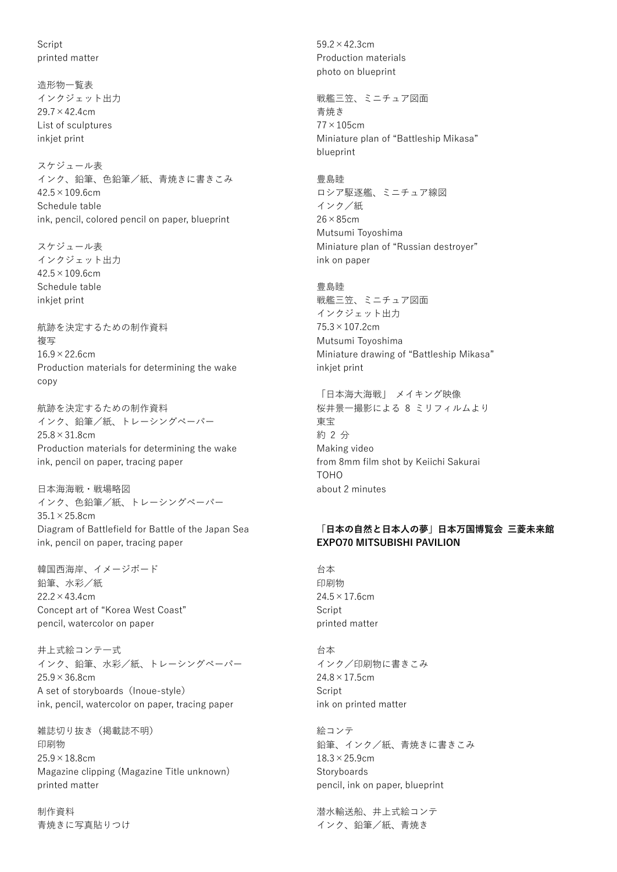**Script** printed matter

造形物一覧表 インクジェット出力  $29.7 \times 42.4$ cm List of sculptures inkjet print

スケジュール表 インク、鉛筆、色鉛筆/紙、青焼きに書きこみ  $42.5 \times 109.6$ cm Schedule table ink, pencil, colored pencil on paper, blueprint

スケジュール表 インクジェット出力  $42.5 \times 109.6$ cm Schedule table inkjet print

航跡を決定するための制作資料 複写  $16.9 \times 22.6$ cm Production materials for determining the wake copy

航跡を決定するための制作資料 インク、鉛筆/紙、トレーシングペーパー 25.8×31.8cm Production materials for determining the wake ink, pencil on paper, tracing paper

日本海海戦・戦場略図 インク、色鉛筆/紙、トレーシングペーパー  $35.1 \times 25.8$ cm Diagram of Battlefield for Battle of the Japan Sea ink, pencil on paper, tracing paper

韓国西海岸、イメージボード 鉛筆、水彩/紙  $22.2 \times 43.4$ cm Concept art of "Korea West Coast" pencil, watercolor on paper

井上式絵コンテ一式 インク、鉛筆、水彩/紙、トレーシングペーパー  $25.9 \times 36.8$ cm A set of storyboards (Inoue-style) ink, pencil, watercolor on paper, tracing paper

雑誌切り抜き(掲載誌不明) 印刷物  $25.9 \times 18.8$ cm Magazine clipping (Magazine Title unknown) printed matter

制作資料 青焼きに写真貼りつけ 59.2×42.3cm Production materials photo on blueprint

戦艦三笠、ミニチュア図面 青焼き 77×105cm Miniature plan of "Battleship Mikasa" blueprint

豊島睦 ロシア駆逐艦、ミニチュア線図 インク/紙 26×85cm Mutsumi Toyoshima Miniature plan of "Russian destroyer" ink on paper

豊島睦 戦艦三笠、ミニチュア図面 インクジェット出力 75.3×107.2cm Mutsumi Toyoshima Miniature drawing of "Battleship Mikasa" inkjet print

「日本海大海戦」 メイキング映像 桜井景一撮影による 8 ミリフィルムより 東宝 約 2 分 Making video from 8mm film shot by Keiichi Sakurai TOHO about 2 minutes

#### **「日本の自然と日本人の夢」日本万国博覧会 三菱未来館 EXPO70 MITSUBISHI PAVILION**

台本 印刷物  $24.5 \times 17.6$ cm Script printed matter

台本 インク/印刷物に書きこみ  $24.8 \times 17.5$ cm **Script** ink on printed matter

絵コンテ 鉛筆、インク/紙、青焼きに書きこみ  $18.3 \times 25.9$ cm **Storyboards** pencil, ink on paper, blueprint

潜水輸送船、井上式絵コンテ インク、鉛筆/紙、青焼き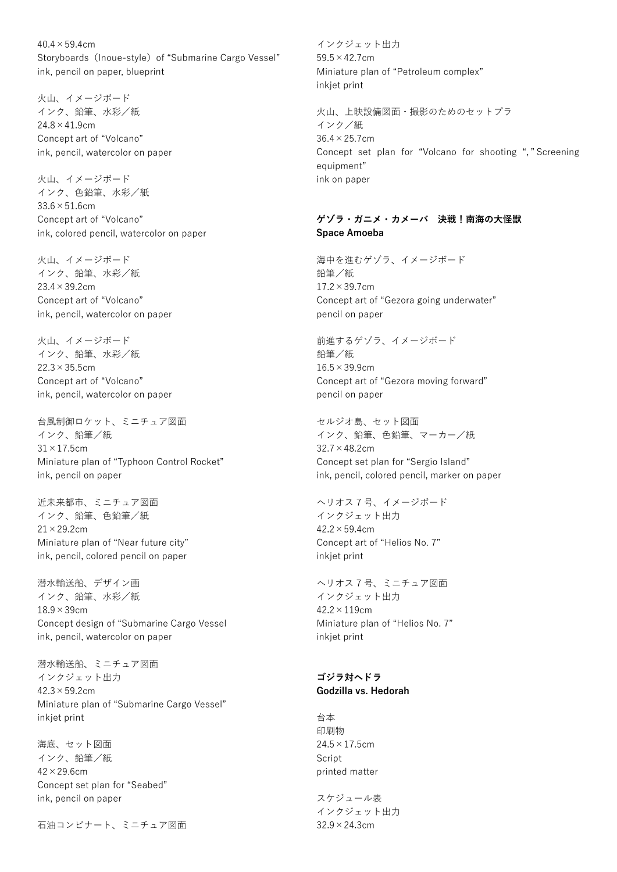$40.4 \times 59.4$ cm Storyboards (Inoue-style) of "Submarine Cargo Vessel" ink, pencil on paper, blueprint

火山、イメージボード インク、鉛筆、水彩/紙  $24.8 \times 41.9$ cm Concept art of "Volcano" ink, pencil, watercolor on paper

火山、イメージボード インク、色鉛筆、水彩/紙  $33.6 \times 51.6$ cm Concept art of "Volcano" ink, colored pencil, watercolor on paper

火山、イメージボード インク、鉛筆、水彩/紙 23.4×39.2cm Concept art of "Volcano" ink, pencil, watercolor on paper

火山、イメージボード インク、鉛筆、水彩/紙 22.3×35.5cm Concept art of "Volcano" ink, pencil, watercolor on paper

台風制御ロケット、ミニチュア図面 インク、鉛筆/紙 31×17.5cm Miniature plan of "Typhoon Control Rocket" ink, pencil on paper

近未来都市、ミニチュア図面 インク、鉛筆、色鉛筆/紙  $21 \times 29.2$ cm Miniature plan of "Near future city" ink, pencil, colored pencil on paper

潜水輸送船、デザイン画 インク、鉛筆、水彩/紙 18.9×39cm Concept design of "Submarine Cargo Vessel ink, pencil, watercolor on paper

潜水輸送船、ミニチュア図面 インクジェット出力  $42.3 \times 59.2$ cm Miniature plan of "Submarine Cargo Vessel" inkjet print

海底、セット図面 インク、鉛筆/紙  $42 \times 29.6$ cm Concept set plan for "Seabed" ink, pencil on paper

石油コンビナート、ミニチュア図面

インクジェット出力 59.5×42.7cm Miniature plan of "Petroleum complex" inkjet print

火山、上映設備図面・撮影のためのセットプラ インク/紙 36.4×25.7cm Concept set plan for "Volcano for shooting ", " Screening equipment" ink on paper

#### **ゲゾラ・ガニメ・カメーバ 決戦!南海の大怪獣 Space Amoeba**

海中を進むゲゾラ、イメージボード 鉛筆/紙 17.2×39.7cm Concept art of "Gezora going underwater" pencil on paper

前進するゲゾラ、イメージボード 鉛筆/紙 16.5×39.9cm Concept art of "Gezora moving forward" pencil on paper

セルジオ島、セット図面 インク、鉛筆、色鉛筆、マーカー/紙 32.7×48.2cm Concept set plan for "Sergio Island" ink, pencil, colored pencil, marker on paper

ヘリオス 7 号、イメージボード インクジェット出力  $42.2 \times 59.4$ cm Concept art of "Helios No. 7" inkjet print

ヘリオス 7 号、ミニチュア図面 インクジェット出力 42.2×119cm Miniature plan of "Helios No. 7" inkjet print

## **ゴジラ対ヘドラ Godzilla vs. Hedorah**

台本 印刷物 24.5×17.5cm **Script** printed matter

スケジュール表 インクジェット出力 32.9×24.3cm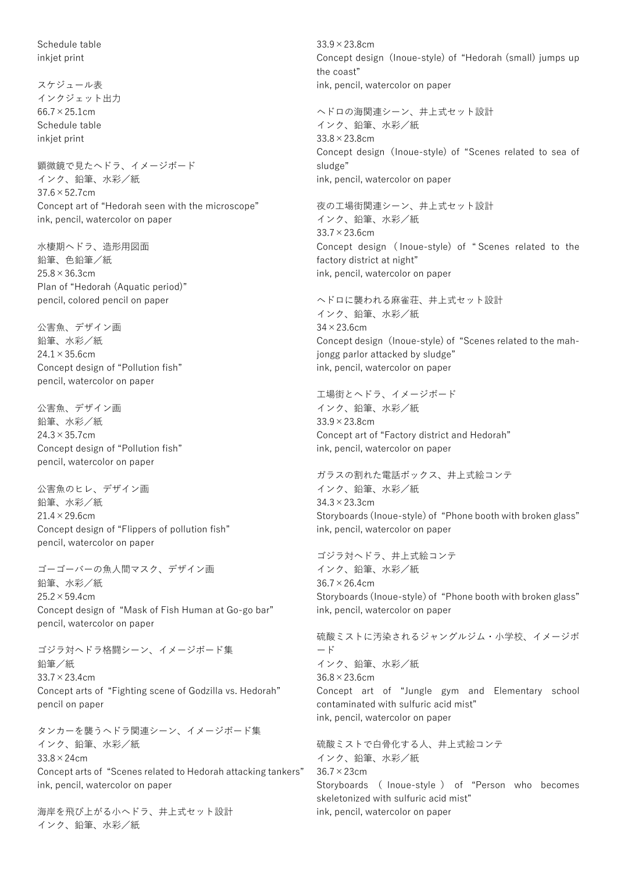Schedule table inkjet print

スケジュール表 インクジェット出力  $66.7 \times 25.1$ cm Schedule table inkjet print

顕微鏡で見たヘドラ、イメージボード インク、鉛筆、水彩/紙 37.6×52.7cm Concept art of "Hedorah seen with the microscope" ink, pencil, watercolor on paper

水棲期ヘドラ、造形用図面 鉛筆、色鉛筆/紙  $25.8 \times 36.3$ cm Plan of "Hedorah (Aquatic period)" pencil, colored pencil on paper

公害魚、デザイン画 鉛筆、水彩/紙  $24.1 \times 35.6$ cm Concept design of "Pollution fish" pencil, watercolor on paper

公害魚、デザイン画 鉛筆、水彩/紙 24.3×35.7cm Concept design of "Pollution fish" pencil, watercolor on paper

公害魚のヒレ、デザイン画 鉛筆、水彩/紙  $21.4 \times 29.6$ cm Concept design of "Flippers of pollution fish" pencil, watercolor on paper

ゴーゴーバーの魚人間マスク、デザイン画 鉛筆、水彩/紙  $25.2 \times 59.4$ cm Concept design of "Mask of Fish Human at Go-go bar" pencil, watercolor on paper

ゴジラ対ヘドラ格闘シーン、イメージボード集 鉛筆/紙 33.7×23.4cm Concept arts of "Fighting scene of Godzilla vs. Hedorah" pencil on paper

タンカーを襲うヘドラ関連シーン、イメージボード集 インク、鉛筆、水彩/紙  $33.8 \times 24$ cm Concept arts of "Scenes related to Hedorah attacking tankers" ink, pencil, watercolor on paper

海岸を飛び上がる小ヘドラ、井上式セット設計 インク、鉛筆、水彩/紙

33.9×23.8cm Concept design (Inoue-style) of "Hedorah (small) jumps up the coast" ink, pencil, watercolor on paper

ヘドロの海関連シーン、井上式セット設計 インク、鉛筆、水彩/紙 33.8×23.8cm Concept design (Inoue-style) of "Scenes related to sea of sludge" ink, pencil, watercolor on paper

夜の工場街関連シーン、井上式セット設計 インク、鉛筆、水彩/紙 33.7×23.6cm Concept design ( Inoue-style) of " Scenes related to the factory district at night" ink, pencil, watercolor on paper

ヘドロに襲われる麻雀荘、井上式セット設計 インク、鉛筆、水彩/紙  $34 \times 23.6$ cm Concept design (Inoue-style) of "Scenes related to the mahjongg parlor attacked by sludge" ink, pencil, watercolor on paper

工場街とヘドラ、イメージボード インク、鉛筆、水彩/紙 33.9×23.8cm Concept art of "Factory district and Hedorah" ink, pencil, watercolor on paper

ガラスの割れた電話ボックス、井上式絵コンテ インク、鉛筆、水彩/紙 34.3×23.3cm Storyboards (Inoue-style) of "Phone booth with broken glass" ink, pencil, watercolor on paper

ゴジラ対ヘドラ、井上式絵コンテ インク、鉛筆、水彩/紙 36.7×26.4cm Storyboards (Inoue-style) of "Phone booth with broken glass" ink, pencil, watercolor on paper

硫酸ミストに汚染されるジャングルジム・小学校、イメージボ ード インク、鉛筆、水彩/紙 36.8×23.6cm Concept art of "Jungle gym and Elementary school contaminated with sulfuric acid mist" ink, pencil, watercolor on paper

硫酸ミストで白骨化する人、井上式絵コンテ インク、鉛筆、水彩/紙 36.7×23cm Storyboards ( Inoue-style ) of "Person who becomes skeletonized with sulfuric acid mist" ink, pencil, watercolor on paper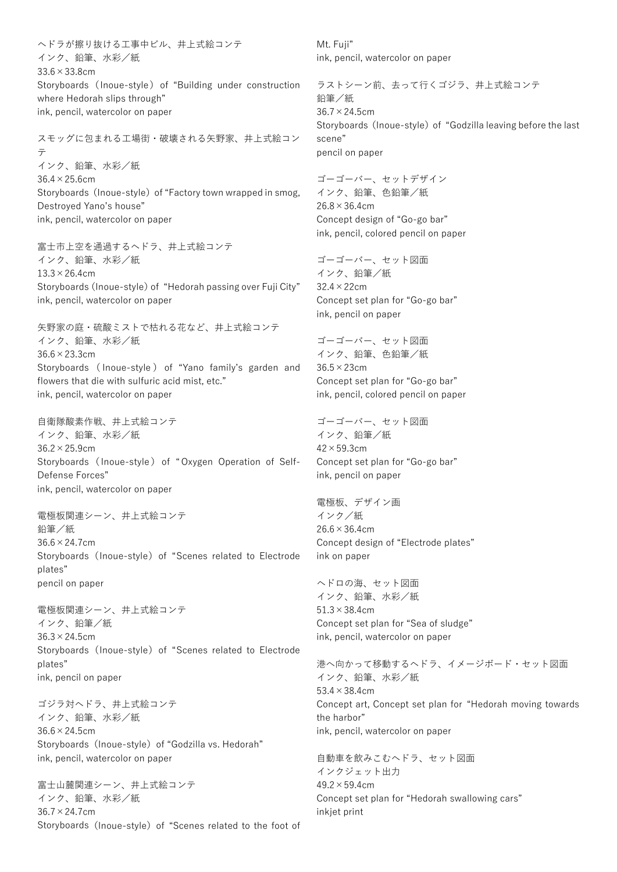ヘドラが擦り抜ける工事中ビル、井上式絵コンテ インク、鉛筆、水彩/紙 33.6×33.8cm Storyboards (Inoue-style) of "Building under construction where Hedorah slips through" ink, pencil, watercolor on paper

スモッグに包まれる工場街・破壊される矢野家、井上式絵コン テ インク、鉛筆、水彩/紙 36.4×25.6cm Storyboards (Inoue-style) of "Factory town wrapped in smog, Destroyed Yano's house" ink, pencil, watercolor on paper

富士市上空を通過するヘドラ、井上式絵コンテ インク、鉛筆、水彩/紙  $13.3 \times 26.4$ cm Storyboards (Inoue-style) of "Hedorah passing over Fuji City" ink, pencil, watercolor on paper

矢野家の庭・硫酸ミストで枯れる花など、井上式絵コンテ インク、鉛筆、水彩/紙 36.6×23.3cm Storyboards ( Inoue-style ) of "Yano family's garden and flowers that die with sulfuric acid mist, etc." ink, pencil, watercolor on paper

自衛隊酸素作戦、井上式絵コンテ インク、鉛筆、水彩/紙 36.2×25.9cm Storyboards (Inoue-style) of " Oxygen Operation of Self-Defense Forces" ink, pencil, watercolor on paper

電極板関連シーン、井上式絵コンテ 鉛筆/紙 36.6×24.7cm Storyboards (Inoue-style) of "Scenes related to Electrode plates" pencil on paper

電極板関連シーン、井上式絵コンテ インク、鉛筆/紙 36.3×24.5cm Storyboards (Inoue-style) of "Scenes related to Electrode plates" ink, pencil on paper

ゴジラ対ヘドラ、井上式絵コンテ インク、鉛筆、水彩/紙 36.6×24.5cm Storyboards (Inoue-style) of "Godzilla vs. Hedorah" ink, pencil, watercolor on paper

富士山麓関連シーン、井上式絵コンテ インク、鉛筆、水彩/紙 36.7×24.7cm Storyboards (Inoue-style) of "Scenes related to the foot of Mt. Fuji" ink, pencil, watercolor on paper

ラストシーン前、去って行くゴジラ、井上式絵コンテ 鉛筆/紙 36.7×24.5cm Storyboards (Inoue-style) of "Godzilla leaving before the last scene" pencil on paper

ゴーゴーバー、セットデザイン インク、鉛筆、色鉛筆/紙  $26.8 \times 36.4$ cm Concept design of "Go-go bar" ink, pencil, colored pencil on paper

ゴーゴーバー、セット図面 インク、鉛筆/紙 32.4×22cm Concept set plan for "Go-go bar" ink, pencil on paper

ゴーゴーバー、セット図面 インク、鉛筆、色鉛筆/紙 36.5×23cm Concept set plan for "Go-go bar" ink, pencil, colored pencil on paper

ゴーゴーバー、セット図面 インク、鉛筆/紙 42×59.3cm Concept set plan for "Go-go bar" ink, pencil on paper

電極板、デザイン画 インク/紙  $26.6 \times 36.4$ cm Concept design of "Electrode plates" ink on paper

ヘドロの海、セット図面 インク、鉛筆、水彩/紙 51.3×38.4cm Concept set plan for "Sea of sludge" ink, pencil, watercolor on paper

港へ向かって移動するヘドラ、イメージボード・セット図面 インク、鉛筆、水彩/紙 53.4×38.4cm Concept art, Concept set plan for "Hedorah moving towards the harbor" ink, pencil, watercolor on paper

自動車を飲みこむヘドラ、セット図面 インクジェット出力  $49.2 \times 59.4$ cm Concept set plan for "Hedorah swallowing cars" inkjet print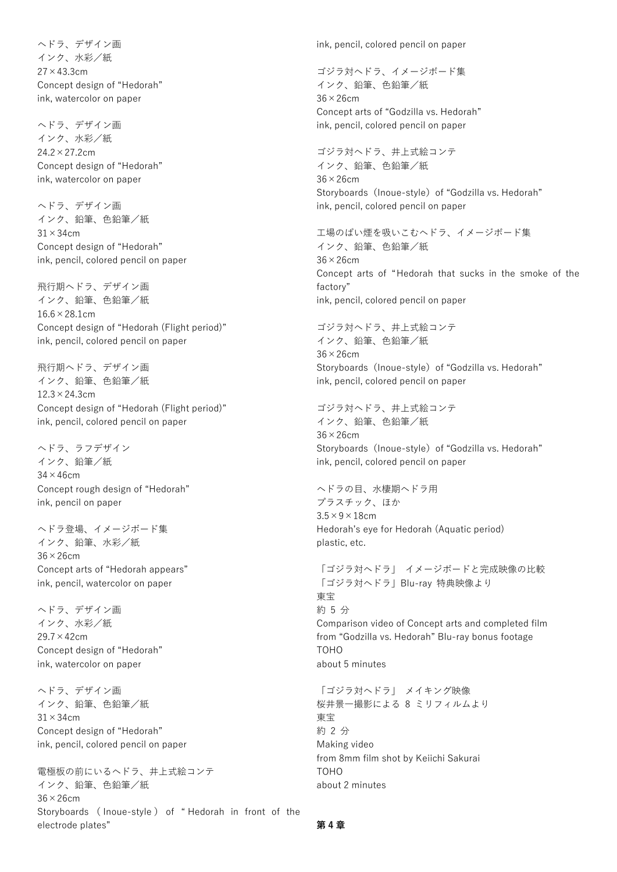ヘドラ、デザイン画 インク、水彩/紙 27×43.3cm Concept design of "Hedorah" ink, watercolor on paper

ヘドラ、デザイン画 インク、水彩/紙 24.2×27.2cm Concept design of "Hedorah" ink, watercolor on paper

ヘドラ、デザイン画 インク、鉛筆、色鉛筆/紙  $31 \times 34$ cm Concept design of "Hedorah" ink, pencil, colored pencil on paper

飛行期ヘドラ、デザイン画 インク、鉛筆、色鉛筆/紙 16.6×28.1cm Concept design of "Hedorah (Flight period)" ink, pencil, colored pencil on paper

飛行期ヘドラ、デザイン画 インク、鉛筆、色鉛筆/紙  $12.3 \times 24.3$ cm Concept design of "Hedorah (Flight period)" ink, pencil, colored pencil on paper

ヘドラ、ラフデザイン インク、鉛筆/紙  $34 \times 46$ cm Concept rough design of "Hedorah" ink, pencil on paper

ヘドラ登場、イメージボード集 インク、鉛筆、水彩/紙 36×26cm Concept arts of "Hedorah appears" ink, pencil, watercolor on paper

ヘドラ、デザイン画 インク、水彩/紙 29.7×42cm Concept design of "Hedorah" ink, watercolor on paper

ヘドラ、デザイン画 インク、鉛筆、色鉛筆/紙  $31 \times 34$ cm Concept design of "Hedorah" ink, pencil, colored pencil on paper

電極板の前にいるヘドラ、井上式絵コンテ インク、鉛筆、色鉛筆/紙 36×26cm Storyboards ( Inoue-style ) of " Hedorah in front of the electrode plates"

ink, pencil, colored pencil on paper

ゴジラ対ヘドラ、イメージボード集 インク、鉛筆、色鉛筆/紙 36×26cm Concept arts of "Godzilla vs. Hedorah" ink, pencil, colored pencil on paper

ゴジラ対ヘドラ、井上式絵コンテ インク、鉛筆、色鉛筆/紙 36×26cm Storyboards (Inoue-style) of "Godzilla vs. Hedorah" ink, pencil, colored pencil on paper

工場のばい煙を吸いこむヘドラ、イメージボード集 インク、鉛筆、色鉛筆/紙 36×26cm Concept arts of "Hedorah that sucks in the smoke of the factory" ink, pencil, colored pencil on paper

ゴジラ対ヘドラ、井上式絵コンテ インク、鉛筆、色鉛筆/紙 36×26cm Storyboards (Inoue-style) of "Godzilla vs. Hedorah" ink, pencil, colored pencil on paper

ゴジラ対ヘドラ、井上式絵コンテ インク、鉛筆、色鉛筆/紙 36×26cm Storyboards (Inoue-style) of "Godzilla vs. Hedorah" ink, pencil, colored pencil on paper

ヘドラの目、水棲期ヘドラ用 プラスチック、ほか  $3.5 \times 9 \times 18$ cm Hedorah's eye for Hedorah (Aquatic period) plastic, etc.

「ゴジラ対ヘドラ」 イメージボードと完成映像の比較 「ゴジラ対ヘドラ」Blu-ray 特典映像より 東宝 約 5 分 Comparison video of Concept arts and completed film from "Godzilla vs. Hedorah" Blu-ray bonus footage TOHO about 5 minutes

「ゴジラ対ヘドラ」 メイキング映像 桜井景一撮影による 8 ミリフィルムより 東宝 約 2 分 Making video from 8mm film shot by Keiichi Sakurai **TOHO** about 2 minutes

**第 4 章**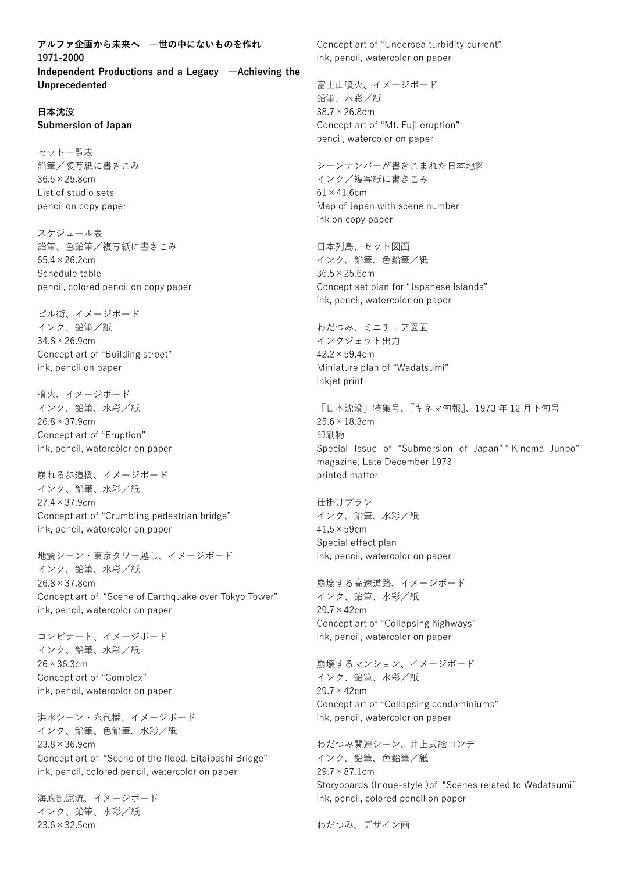**アルファ企画から未来へ ―世の中にないものを作れ 1971-2000 Independent Productions and a Legacy ―Achieving the Unprecedented**

#### **日本沈没 Submersion of Japan**

セット一覧表 鉛筆/複写紙に書きこみ 36.5×25.8cm List of studio sets pencil on copy paper

スケジュール表 鉛筆、色鉛筆/複写紙に書きこみ  $65.4 \times 26.2$ cm Schedule table pencil, colored pencil on copy paper

ビル街、イメージボード インク、鉛筆/紙 34.8×26.9cm Concept art of "Building street" ink, pencil on paper

噴火、イメージボード インク、鉛筆、水彩/紙  $26.8 \times 37.9$ cm Concept art of "Eruption" ink, pencil, watercolor on paper

崩れる歩道橋、イメージボード インク、鉛筆、水彩/紙 27.4×37.9cm Concept art of "Crumbling pedestrian bridge" ink, pencil, watercolor on paper

地震シーン・東京タワー越し、イメージボード インク、鉛筆、水彩/紙  $26.8 \times 37.8$ cm Concept art of "Scene of Earthquake over Tokyo Tower" ink, pencil, watercolor on paper

コンビナート、イメージボード インク、鉛筆、水彩/紙 26×36.3cm Concept art of "Complex" ink, pencil, watercolor on paper

洪水シーン・永代橋、イメージボード インク、鉛筆、色鉛筆、水彩/紙 23.8×36.9cm Concept art of "Scene of the flood. Eitaibashi Bridge" ink, pencil, colored pencil, watercolor on paper

海底乱泥流、イメージボード インク、鉛筆、水彩/紙 23.6×32.5cm

Concept art of "Undersea turbidity current" ink, pencil, watercolor on paper

富士山噴火、イメージボード 鉛筆、水彩/紙 38.7×26.8cm Concept art of "Mt. Fuji eruption" pencil, watercolor on paper

シーンナンバーが書きこまれた日本地図 インク/複写紙に書きこみ  $61 \times 41.6$ cm Map of Japan with scene number ink on copy paper

日本列島、セット図面 インク、鉛筆、色鉛筆/紙  $36.5 \times 25.6$ cm Concept set plan for "Japanese Islands" ink, pencil, watercolor on paper

わだつみ、ミニチュア図面 インクジェット出力  $42.2 \times 59.4$ cm Miniature plan of "Wadatsumi" inkjet print

「日本沈没」特集号、『キネマ旬報』、1973 年 12 月下旬号  $25.6 \times 18.3$ cm 印刷物 Special Issue of "Submersion of Japan" " Kinema Junpo" magazine, Late December 1973 printed matter

仕掛けプラン インク、鉛筆、水彩/紙  $41.5 \times 59$ cm Special effect plan ink, pencil, watercolor on paper

崩壊する高速道路、イメージボード インク、鉛筆、水彩/紙 29.7×42cm Concept art of "Collapsing highways" ink, pencil, watercolor on paper

崩壊するマンション、イメージボード インク、鉛筆、水彩/紙 29.7×42cm Concept art of "Collapsing condominiums" ink, pencil, watercolor on paper

わだつみ関連シーン、井上式絵コンテ インク、鉛筆、色鉛筆/紙 29.7×87.1cm Storyboards (Inoue-style )of "Scenes related to Wadatsumi" ink, pencil, colored pencil on paper

わだつみ、デザイン画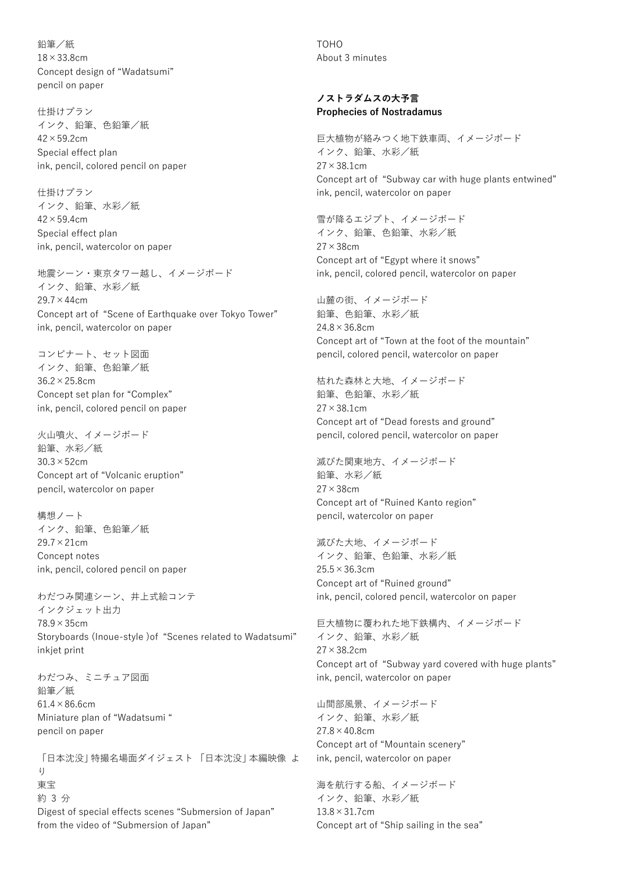鉛筆/紙 18×33.8cm Concept design of "Wadatsumi" pencil on paper

仕掛けプラン インク、鉛筆、色鉛筆/紙  $42 \times 59.2$ cm Special effect plan ink, pencil, colored pencil on paper

仕掛けプラン インク、鉛筆、水彩/紙 42×59.4cm Special effect plan ink, pencil, watercolor on paper

地震シーン・東京タワー越し、イメージボード インク、鉛筆、水彩/紙 29.7×44cm Concept art of "Scene of Earthquake over Tokyo Tower" ink, pencil, watercolor on paper

コンビナート、セット図面 インク、鉛筆、色鉛筆/紙 36.2×25.8cm Concept set plan for "Complex" ink, pencil, colored pencil on paper

火山噴火、イメージボード 鉛筆、水彩/紙 30.3×52cm Concept art of "Volcanic eruption" pencil, watercolor on paper

構想ノート インク、鉛筆、色鉛筆/紙 29.7×21cm Concept notes ink, pencil, colored pencil on paper

わだつみ関連シーン、井上式絵コンテ インクジェット出力 78.9×35cm Storyboards (Inoue-style )of "Scenes related to Wadatsumi" inkjet print

わだつみ、ミニチュア図面 鉛筆/紙 61.4×86.6cm Miniature plan of "Wadatsumi " pencil on paper

「日本沈没」特撮名場面ダイジェスト 「日本沈没」本編映像 よ  $\iota$ 東宝 約 3 分 Digest of special effects scenes "Submersion of Japan" from the video of "Submersion of Japan"

TOHO About 3 minutes

#### **ノストラダムスの大予言 Prophecies of Nostradamus**

巨大植物が絡みつく地下鉄車両、イメージボード インク、鉛筆、水彩/紙 27×38.1cm Concept art of "Subway car with huge plants entwined" ink, pencil, watercolor on paper

雪が降るエジプト、イメージボード インク、鉛筆、色鉛筆、水彩/紙 27×38cm Concept art of "Egypt where it snows" ink, pencil, colored pencil, watercolor on paper

山麓の街、イメージボード 鉛筆、色鉛筆、水彩/紙  $24.8 \times 36.8$ cm Concept art of "Town at the foot of the mountain" pencil, colored pencil, watercolor on paper

枯れた森林と大地、イメージボード 鉛筆、色鉛筆、水彩/紙 27×38.1cm Concept art of "Dead forests and ground" pencil, colored pencil, watercolor on paper

滅びた関東地方、イメージボード 鉛筆、水彩/紙 27×38cm Concept art of "Ruined Kanto region" pencil, watercolor on paper

滅びた大地、イメージボード インク、鉛筆、色鉛筆、水彩/紙 25.5×36.3cm Concept art of "Ruined ground" ink, pencil, colored pencil, watercolor on paper

巨大植物に覆われた地下鉄構内、イメージボード インク、鉛筆、水彩/紙 27×38.2cm Concept art of "Subway yard covered with huge plants" ink, pencil, watercolor on paper

山間部風景、イメージボード インク、鉛筆、水彩/紙 27.8×40.8cm Concept art of "Mountain scenery" ink, pencil, watercolor on paper

海を航行する船、イメージボード インク、鉛筆、水彩/紙 13.8×31.7cm Concept art of "Ship sailing in the sea"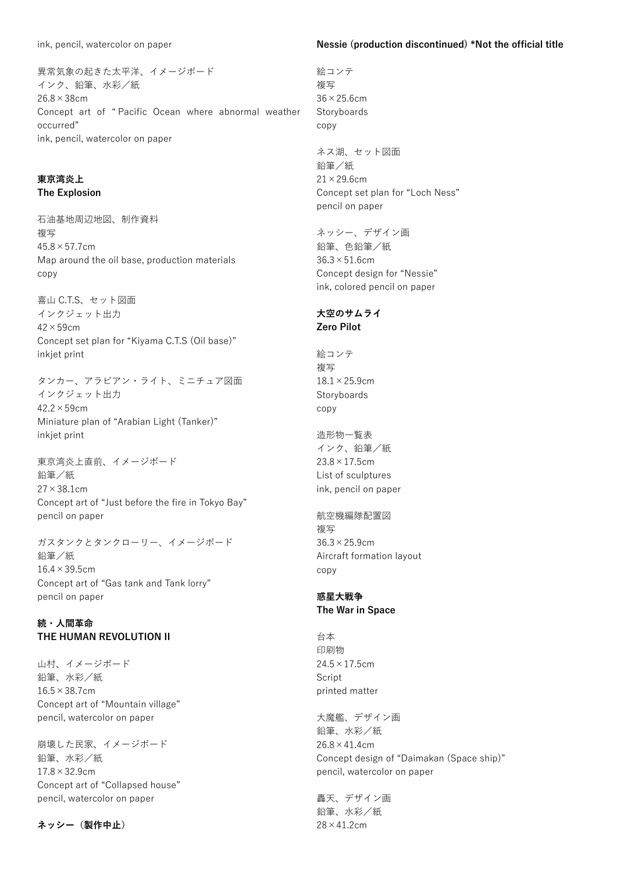異常気象の起きた太平洋、イメージボード インク、鉛筆、水彩/紙 26.8×38cm Concept art of " Pacific Ocean where abnormal weather occurred" ink, pencil, watercolor on paper

# **東京湾炎上 The Explosion**

石油基地周辺地図、制作資料 複写  $45.8 \times 57.7$ cm Map around the oil base, production materials copy

喜山 C.T.S、セット図面 インクジェット出力  $42 \times 59$ cm Concept set plan for "Kiyama C.T.S (Oil base)" inkjet print

タンカー、アラビアン・ライト、ミニチュア図面 インクジェット出力 42.2×59cm Miniature plan of "Arabian Light (Tanker)" inkjet print

東京湾炎上直前、イメージボード 鉛筆/紙 27×38.1cm Concept art of "Just before the fire in Tokyo Bay" pencil on paper

ガスタンクとタンクローリー、イメージボード 鉛筆/紙  $16.4 \times 39.5$ cm Concept art of "Gas tank and Tank lorry" pencil on paper

# **続・人間革命 THE HUMAN REVOLUTION II**

山村、イメージボード 鉛筆、水彩/紙 16.5×38.7cm Concept art of "Mountain village" pencil, watercolor on paper

崩壊した民家、イメージボード 鉛筆、水彩/紙  $17.8 \times 32.9$ cm Concept art of "Collapsed house" pencil, watercolor on paper

**ネッシー(製作中止)**

#### **Nessie (production discontinued) \*Not the official title**

絵コンテ 複写 36×25.6cm Storyboards copy

ネス湖、セット図面 鉛筆/紙  $21 \times 29.6$ cm Concept set plan for "Loch Ness" pencil on paper

ネッシー、デザイン画 鉛筆、色鉛筆/紙  $36.3 \times 51.6$ cm Concept design for "Nessie" ink, colored pencil on paper

## **大空のサムライ Zero Pilot**

絵コンテ 複写 18.1×25.9cm **Storyboards** copy

造形物一覧表 インク、鉛筆/紙  $23.8 \times 17.5$ cm List of sculptures ink, pencil on paper

航空機編隊配置図 複写 36.3×25.9cm Aircraft formation layout copy

## **惑星大戦争 The War in Space**

台本 印刷物  $24.5 \times 17.5$ cm **Script** printed matter

大魔艦、デザイン画 鉛筆、水彩/紙 26.8×41.4cm Concept design of "Daimakan (Space ship)" pencil, watercolor on paper

轟天、デザイン画 鉛筆、水彩/紙 28×41.2cm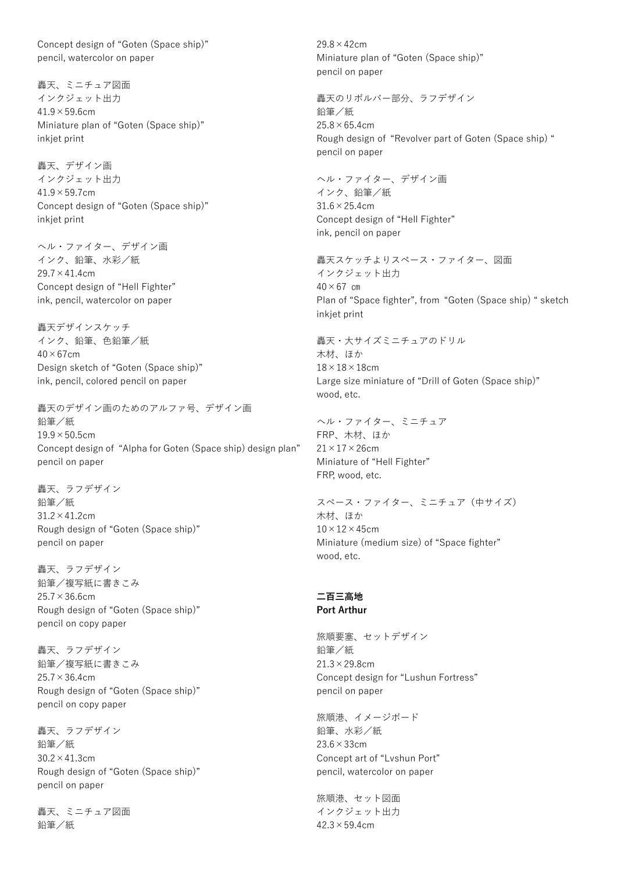Concept design of "Goten (Space ship)" pencil, watercolor on paper

轟天、ミニチュア図面 インクジェット出力 41.9×59.6cm Miniature plan of "Goten (Space ship)" inkjet print

轟天、デザイン画 インクジェット出力  $41.9 \times 59.7$ cm Concept design of "Goten (Space ship)" inkjet print

ヘル・ファイター、デザイン画 インク、鉛筆、水彩/紙  $29.7 \times 41.4$ cm Concept design of "Hell Fighter" ink, pencil, watercolor on paper

轟天デザインスケッチ インク、鉛筆、色鉛筆/紙  $40\times67$ cm Design sketch of "Goten (Space ship)" ink, pencil, colored pencil on paper

轟天のデザイン画のためのアルファ号、デザイン画 鉛筆/紙  $19.9 \times 50.5$ cm Concept design of "Alpha for Goten (Space ship) design plan" pencil on paper

轟天、ラフデザイン 鉛筆/紙  $31.2 \times 41.2$ cm Rough design of "Goten (Space ship)" pencil on paper

轟天、ラフデザイン 鉛筆/複写紙に書きこみ  $25.7 \times 36.6$ cm Rough design of "Goten (Space ship)" pencil on copy paper

轟天、ラフデザイン 鉛筆/複写紙に書きこみ  $25.7 \times 36.4$ cm Rough design of "Goten (Space ship)" pencil on copy paper

轟天、ラフデザイン 鉛筆/紙 30.2×41.3cm Rough design of "Goten (Space ship)" pencil on paper

轟天、ミニチュア図面 鉛筆/紙

29.8×42cm Miniature plan of "Goten (Space ship)" pencil on paper

轟天のリボルバー部分、ラフデザイン 鉛筆/紙  $25.8 \times 65.4$ cm Rough design of "Revolver part of Goten (Space ship) " pencil on paper

ヘル・ファイター、デザイン画 インク、鉛筆/紙 31.6×25.4cm Concept design of "Hell Fighter" ink, pencil on paper

轟天スケッチよりスペース・ファイター、図面 インクジェット出力  $40 \times 67$  cm Plan of "Space fighter", from "Goten (Space ship) " sketch inkjet print

轟天・大サイズミニチュアのドリル 木材、ほか  $18 \times 18 \times 18$ cm Large size miniature of "Drill of Goten (Space ship)" wood, etc.

ヘル・ファイター、ミニチュア FRP、木材、ほか  $21 \times 17 \times 26$ cm Miniature of "Hell Fighter" FRP, wood, etc.

スペース・ファイター、ミニチュア(中サイズ) 木材、ほか  $10\times12\times45$ cm Miniature (medium size) of "Space fighter" wood, etc.

#### **二百三高地 Port Arthur**

旅順要塞、セットデザイン 鉛筆/紙 21.3×29.8cm Concept design for "Lushun Fortress" pencil on paper

旅順港、イメージボード 鉛筆、水彩/紙 23.6×33cm Concept art of "Lvshun Port" pencil, watercolor on paper

旅順港、セット図面 インクジェット出力  $42.3 \times 59.4$ cm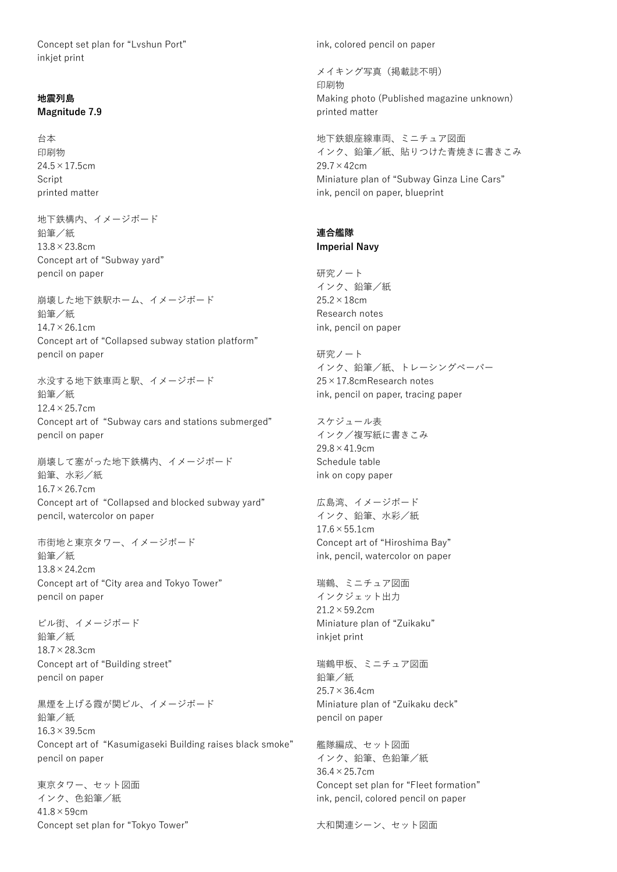Concept set plan for "Lvshun Port" inkjet print

#### **地震列島 Magnitude 7.9**

台本 印刷物  $24.5 \times 17.5$ cm Script printed matter

地下鉄構内、イメージボード 鉛筆/紙 13.8×23.8cm Concept art of "Subway yard" pencil on paper

崩壊した地下鉄駅ホーム、イメージボード 鉛筆/紙 14.7×26.1cm Concept art of "Collapsed subway station platform" pencil on paper

水没する地下鉄車両と駅、イメージボード 鉛筆/紙 12.4×25.7cm Concept art of "Subway cars and stations submerged" pencil on paper

崩壊して塞がった地下鉄構内、イメージボード 鉛筆、水彩/紙  $16.7 \times 26.7$ cm Concept art of "Collapsed and blocked subway yard" pencil, watercolor on paper

市街地と東京タワー、イメージボード 鉛筆/紙 13.8×24.2cm Concept art of "City area and Tokyo Tower" pencil on paper

ビル街、イメージボード 鉛筆/紙 18.7×28.3cm Concept art of "Building street" pencil on paper

黒煙を上げる霞が関ビル、イメージボード 鉛筆/紙 16.3×39.5cm Concept art of "Kasumigaseki Building raises black smoke" pencil on paper

東京タワー、セット図面 インク、色鉛筆/紙  $41.8 \times 59$ cm Concept set plan for "Tokyo Tower" ink, colored pencil on paper

メイキング写真(掲載誌不明) 印刷物 Making photo (Published magazine unknown) printed matter

地下鉄銀座線車両、ミニチュア図面 インク、鉛筆/紙、貼りつけた青焼きに書きこみ 29.7×42cm Miniature plan of "Subway Ginza Line Cars" ink, pencil on paper, blueprint

#### **連合艦隊 Imperial Navy**

研究ノート インク、鉛筆/紙 25.2×18cm Research notes ink, pencil on paper

研究ノート インク、鉛筆/紙、トレーシングペーパー 25×17.8cmResearch notes ink, pencil on paper, tracing paper

スケジュール表 インク/複写紙に書きこみ  $29.8 \times 41.9$ cm Schedule table ink on copy paper

広島湾、イメージボード インク、鉛筆、水彩/紙  $17.6 \times 55.1$ cm Concept art of "Hiroshima Bay" ink, pencil, watercolor on paper

瑞鶴、ミニチュア図面 インクジェット出力  $21.2 \times 59.2$ cm Miniature plan of "Zuikaku" inkjet print

瑞鶴甲板、ミニチュア図面 鉛筆/紙  $25.7 \times 36.4$ cm Miniature plan of "Zuikaku deck" pencil on paper

艦隊編成、セット図面 インク、鉛筆、色鉛筆/紙 36.4×25.7cm Concept set plan for "Fleet formation" ink, pencil, colored pencil on paper

大和関連シーン、セット図面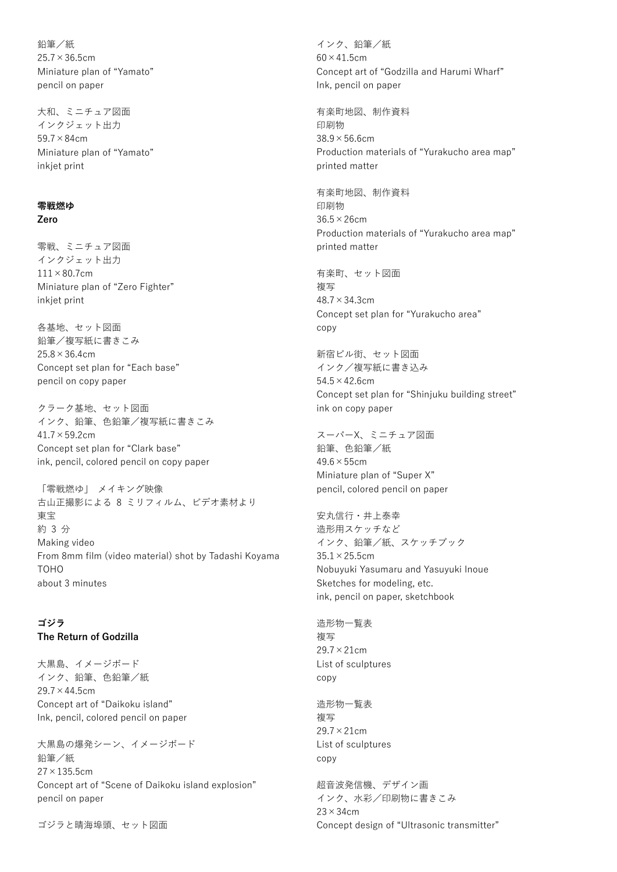鉛筆/紙  $25.7 \times 36.5$ cm Miniature plan of "Yamato" pencil on paper

大和、ミニチュア図面 インクジェット出力 59.7×84cm Miniature plan of "Yamato" inkjet print

#### **零戦燃ゆ Zero**

零戦、ミニチュア図面 インクジェット出力  $111\times80.7$ cm Miniature plan of "Zero Fighter" inkjet print

各基地、セット図面 鉛筆/複写紙に書きこみ  $25.8 \times 36.4$ cm Concept set plan for "Each base" pencil on copy paper

クラーク基地、セット図面 インク、鉛筆、色鉛筆/複写紙に書きこみ 41.7×59.2cm Concept set plan for "Clark base" ink, pencil, colored pencil on copy paper

「零戦燃ゆ」 メイキング映像 古山正撮影による 8 ミリフィルム、ビデオ素材より 東宝 約 3 分 Making video From 8mm film (video material) shot by Tadashi Koyama TOHO about 3 minutes

# **ゴジラ**

#### **The Return of Godzilla**

大黒島、イメージボード インク、鉛筆、色鉛筆/紙  $29.7 \times 44.5$ cm Concept art of "Daikoku island" Ink, pencil, colored pencil on paper

大黒島の爆発シーン、イメージボード 鉛筆/紙  $27 \times 135.5$ cm Concept art of "Scene of Daikoku island explosion" pencil on paper

ゴジラと晴海埠頭、セット図面

インク、鉛筆/紙  $60 \times 41.5$ cm Concept art of "Godzilla and Harumi Wharf" Ink, pencil on paper

有楽町地図、制作資料 印刷物 38.9×56.6cm Production materials of "Yurakucho area map" printed matter

有楽町地図、制作資料 印刷物 36.5×26cm Production materials of "Yurakucho area map" printed matter

有楽町、セット図面 複写 48.7×34.3cm Concept set plan for "Yurakucho area" copy

新宿ビル街、セット図面 インク/複写紙に書き込み 54.5×42.6cm Concept set plan for "Shinjuku building street" ink on copy paper

スーパーX、ミニチュア図面 鉛筆、色鉛筆/紙  $49.6 \times 55$ cm Miniature plan of "Super X" pencil, colored pencil on paper

安丸信行・井上泰幸 造形用スケッチなど インク、鉛筆/紙、スケッチブック  $35.1 \times 25.5$ cm Nobuyuki Yasumaru and Yasuyuki Inoue Sketches for modeling, etc. ink, pencil on paper, sketchbook

造形物一覧表 複写 29.7×21cm List of sculptures copy

造形物一覧表 複写 29.7×21cm List of sculptures copy

超音波発信機、デザイン画 インク、水彩/印刷物に書きこみ  $23 \times 34$ cm Concept design of "Ultrasonic transmitter"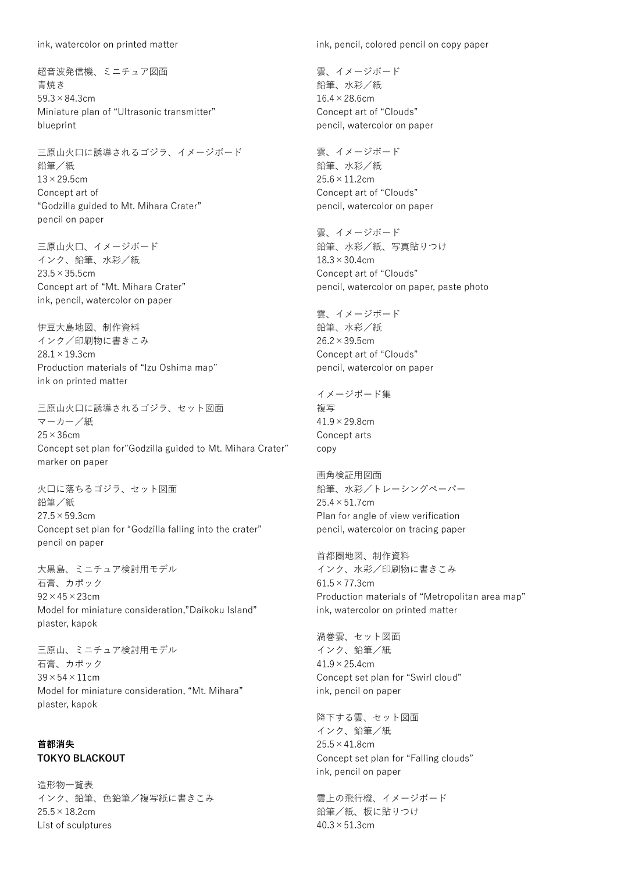ink, watercolor on printed matter

超音波発信機、ミニチュア図面 青焼き 59.3×84.3cm Miniature plan of "Ultrasonic transmitter" blueprint

三原山火口に誘導されるゴジラ、イメージボード 鉛筆/紙  $13\times$  29.5cm Concept art of "Godzilla guided to Mt. Mihara Crater" pencil on paper

三原山火口、イメージボード インク、鉛筆、水彩/紙  $23.5 \times 35.5$ cm Concept art of "Mt. Mihara Crater" ink, pencil, watercolor on paper

伊豆大島地図、制作資料 インク/印刷物に書きこみ 28.1×19.3cm Production materials of "Izu Oshima map" ink on printed matter

三原山火口に誘導されるゴジラ、セット図面 マーカー/紙 25×36cm Concept set plan for"Godzilla guided to Mt. Mihara Crater" marker on paper

火口に落ちるゴジラ、セット図面 鉛筆/紙  $27.5 \times 59.3$ cm Concept set plan for "Godzilla falling into the crater" pencil on paper

大黒島、ミニチュア検討用モデル 石膏、カポック  $92 \times 45 \times 23$ cm Model for miniature consideration,"Daikoku Island" plaster, kapok

三原山、ミニチュア検討用モデル 石膏、カポック  $39 \times 54 \times 11$ cm Model for miniature consideration, "Mt. Mihara" plaster, kapok

## **首都消失 TOKYO BLACKOUT**

造形物一覧表 インク、鉛筆、色鉛筆/複写紙に書きこみ 25.5×18.2cm List of sculptures

ink, pencil, colored pencil on copy paper

雲、イメージボード 鉛筆、水彩/紙 16.4×28.6cm Concept art of "Clouds" pencil, watercolor on paper

雲、イメージボード 鉛筆、水彩/紙  $25.6 \times 11.2$ cm Concept art of "Clouds" pencil, watercolor on paper

雲、イメージボード 鉛筆、水彩/紙、写真貼りつけ  $18.3 \times 30.4$ cm Concept art of "Clouds" pencil, watercolor on paper, paste photo

雲、イメージボード 鉛筆、水彩/紙 26.2×39.5cm Concept art of "Clouds" pencil, watercolor on paper

イメージボード集 複写  $41.9 \times 29.8$ cm Concept arts copy

画角検証用図面 鉛筆、水彩/トレーシングペーパー  $25.4 \times 51.7$ cm Plan for angle of view verification pencil, watercolor on tracing paper

首都圏地図、制作資料 インク、水彩/印刷物に書きこみ  $61.5 \times 77.3$ cm Production materials of "Metropolitan area map" ink, watercolor on printed matter

渦巻雲、セット図面 インク、鉛筆/紙  $41.9 \times 25.4$ cm Concept set plan for "Swirl cloud" ink, pencil on paper

降下する雲、セット図面 インク、鉛筆/紙 25.5×41.8cm Concept set plan for "Falling clouds" ink, pencil on paper

雲上の飛行機、イメージボード 鉛筆/紙、板に貼りつけ  $40.3 \times 51.3$ cm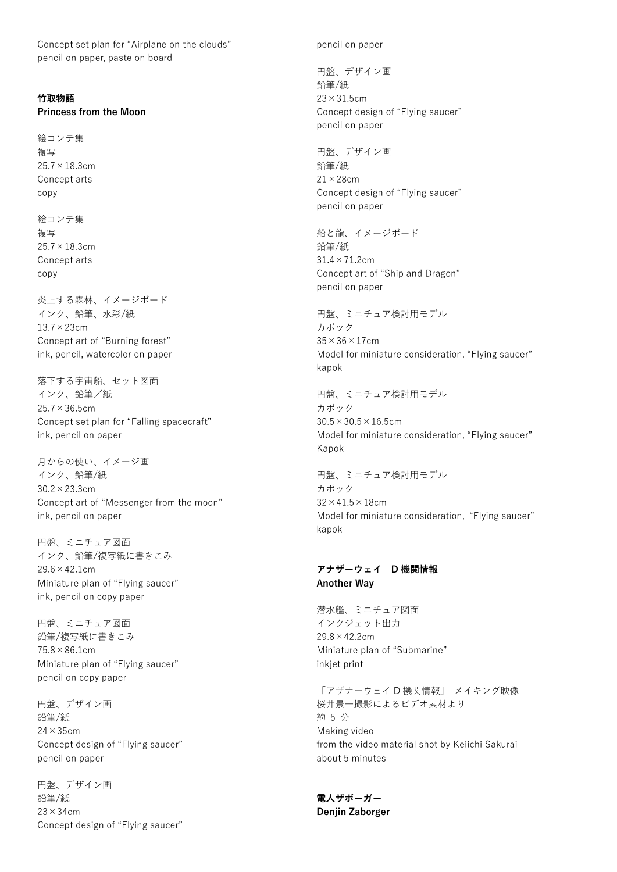Concept set plan for "Airplane on the clouds" pencil on paper, paste on board

## **竹取物語**

**Princess from the Moon**

絵コンテ集 複写 25.7×18.3cm Concept arts copy

絵コンテ集 複写 25.7×18.3cm Concept arts copy

炎上する森林、イメージボード インク、鉛筆、水彩/紙 13.7×23cm Concept art of "Burning forest" ink, pencil, watercolor on paper

落下する宇宙船、セット図面 インク、鉛筆/紙 25.7×36.5cm Concept set plan for "Falling spacecraft" ink, pencil on paper

月からの使い、イメージ画 インク、鉛筆/紙 30.2×23.3cm Concept art of "Messenger from the moon" ink, pencil on paper

円盤、ミニチュア図面 インク、鉛筆/複写紙に書きこみ 29.6×42.1cm Miniature plan of "Flying saucer" ink, pencil on copy paper

円盤、ミニチュア図面 鉛筆/複写紙に書きこみ  $75.8 \times 86.1$ cm Miniature plan of "Flying saucer" pencil on copy paper

円盤、デザイン画 鉛筆/紙 24×35cm Concept design of "Flying saucer" pencil on paper

円盤、デザイン画 鉛筆/紙  $23 \times 34$ cm Concept design of "Flying saucer" pencil on paper

円盤、デザイン画 鉛筆/紙 23×31.5cm Concept design of "Flying saucer" pencil on paper

円盤、デザイン画 鉛筆/紙 21×28cm Concept design of "Flying saucer" pencil on paper

船と龍、イメージボード 鉛筆/紙 31.4×71.2cm Concept art of "Ship and Dragon" pencil on paper

円盤、ミニチュア検討用モデル カポック  $35 \times 36 \times 17$ cm Model for miniature consideration, "Flying saucer" kapok

円盤、ミニチュア検討用モデル カポック  $30.5 \times 30.5 \times 16.5$ cm Model for miniature consideration, "Flying saucer" Kapok

円盤、ミニチュア検討用モデル カポック  $32 \times 41.5 \times 18$ cm Model for miniature consideration, "Flying saucer" kapok

## **アナザーウェイ D 機関情報 Another Way**

潜水艦、ミニチュア図面 インクジェット出力  $29.8 \times 42.2$ cm Miniature plan of "Submarine" inkjet print

「アザナーウェイ D 機関情報」 メイキング映像 桜井景一撮影によるビデオ素材より 約 5 分 Making video from the video material shot by Keiichi Sakurai about 5 minutes

**電人ザボーガー Denjin Zaborger**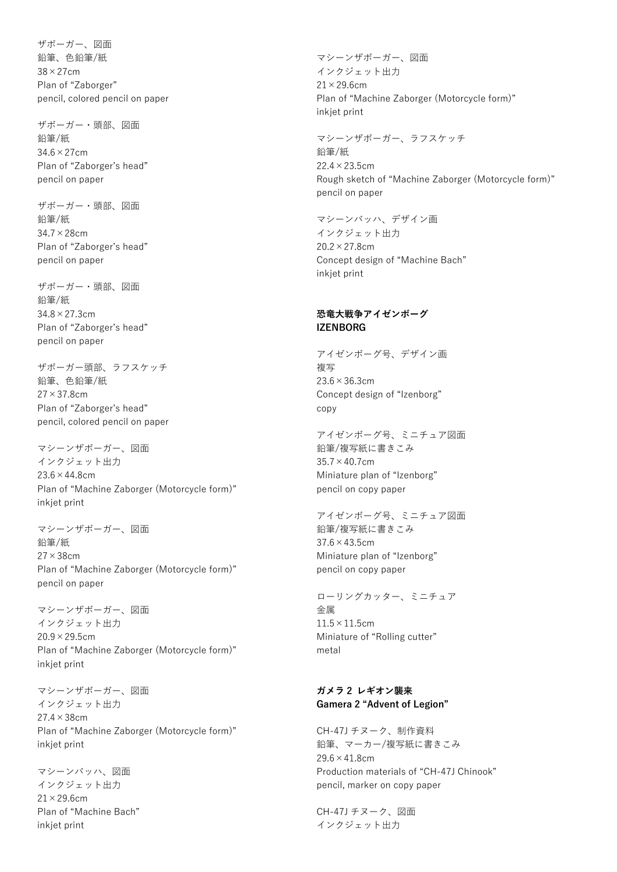ザボーガー、図面 鉛筆、色鉛筆/紙 38×27cm Plan of "Zaborger" pencil, colored pencil on paper

ザボーガー・頭部、図面 鉛筆/紙 34.6×27cm Plan of "Zaborger's head" pencil on paper

ザボーガー・頭部、図面 鉛筆/紙 34.7×28cm Plan of "Zaborger's head" pencil on paper

ザボーガー・頭部、図面 鉛筆/紙 34.8×27.3cm Plan of "Zaborger's head" pencil on paper

ザボーガー頭部、ラフスケッチ 鉛筆、色鉛筆/紙 27×37.8cm Plan of "Zaborger's head" pencil, colored pencil on paper

マシーンザボーガー、図面 インクジェット出力  $23.6 \times 44.8$ cm Plan of "Machine Zaborger (Motorcycle form)" inkjet print

マシーンザボーガー、図面 鉛筆/紙 27×38cm Plan of "Machine Zaborger (Motorcycle form)" pencil on paper

マシーンザボーガー、図面 インクジェット出力  $20.9 \times 29.5$ cm Plan of "Machine Zaborger (Motorcycle form)" inkjet print

マシーンザボーガー、図面 インクジェット出力 27.4×38cm Plan of "Machine Zaborger (Motorcycle form)" inkjet print

マシーンバッハ、図面 インクジェット出力 21×29.6cm Plan of "Machine Bach" inkjet print

マシーンザボーガー、図面 インクジェット出力  $21 \times 29.6$ cm Plan of "Machine Zaborger (Motorcycle form)" inkjet print

マシーンザボーガー、ラフスケッチ 鉛筆/紙  $22.4 \times 23.5$ cm Rough sketch of "Machine Zaborger (Motorcycle form)" pencil on paper

マシーンバッハ、デザイン画 インクジェット出力  $20.2 \times 27.8$ cm Concept design of "Machine Bach" inkjet print

## **恐竜大戦争アイゼンボーグ IZENBORG**

アイゼンボーグ号、デザイン画 複写 23.6×36.3cm Concept design of "Izenborg" copy

アイゼンボーグ号、ミニチュア図面 鉛筆/複写紙に書きこみ  $35.7 \times 40.7$ cm Miniature plan of "Izenborg" pencil on copy paper

アイゼンボーグ号、ミニチュア図面 鉛筆/複写紙に書きこみ 37.6×43.5cm Miniature plan of "Izenborg" pencil on copy paper

ローリングカッター、ミニチュア 金属 11.5×11.5cm Miniature of "Rolling cutter" metal

# **ガメラ 2 レギオン襲来 Gamera 2 "Advent of Legion"**

CH-47J チヌーク、制作資料 鉛筆、マーカー/複写紙に書きこみ  $29.6 \times 41.8$ cm Production materials of "CH-47J Chinook" pencil, marker on copy paper

CH-47J チヌーク、図面 インクジェット出力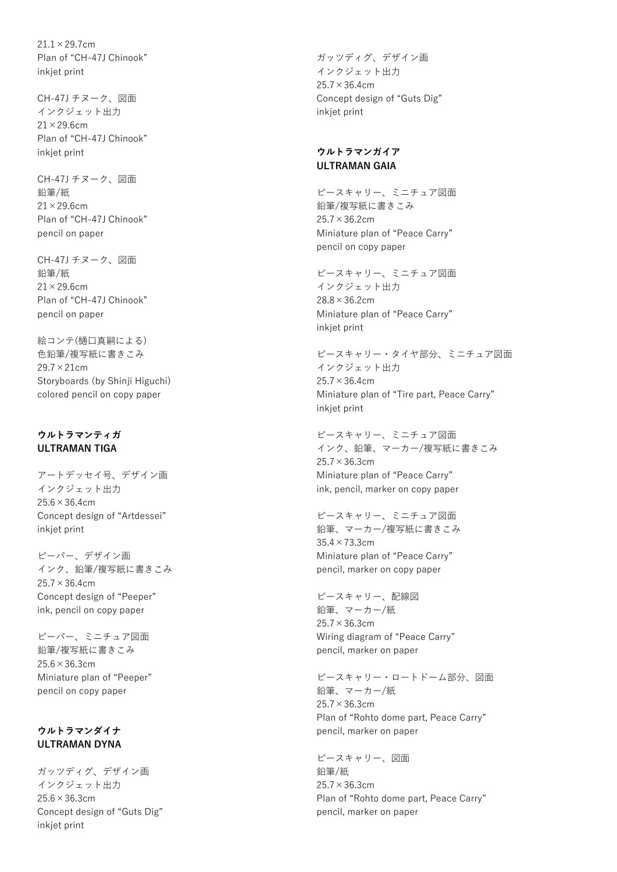$21.1 \times 29.7$ cm Plan of "CH-47J Chinook" inkjet print

CH-47J チヌーク、図面 インクジェット出力  $21 \times 29.6$ cm Plan of "CH-47J Chinook" inkjet print

CH-47J チヌーク、図面 鉛筆/紙  $21 \times 29.6$ cm Plan of "CH-47J Chinook" pencil on paper

CH-47J チヌーク、図面 鉛筆/紙  $21 \times 29.6$ cm Plan of "CH-47J Chinook" pencil on paper

絵コンテ(樋口真嗣による) 色鉛筆/複写紙に書きこみ 29.7×21cm Storyboards (by Shinii Higuchi) colored pencil on copy paper

## **ウルトラマンティガ ULTRAMAN TIGA**

アートデッセイ号、デザイン画 インクジェット出力  $25.6 \times 36.4$ cm Concept design of "Artdessei" inkjet print

ピーパー、デザイン画 インク、鉛筆/複写紙に書きこみ  $25.7 \times 36.4$ cm Concept design of "Peeper" ink, pencil on copy paper

ピーパー、ミニチュア図面 鉛筆/複写紙に書きこみ  $25.6 \times 36.3$ cm Miniature plan of "Peeper" pencil on copy paper

# **ウルトラマンダイナ ULTRAMAN DYNA**

ガッツディグ、デザイン画 インクジェット出力 25.6×36.3cm Concept design of "Guts Dig" inkjet print

ガッツディグ、デザイン画 インクジェット出力  $25.7 \times 36.4$ cm Concept design of "Guts Dig" inkjet print

## **ウルトラマンガイア ULTRAMAN GAIA**

ピースキャリー、ミニチュア図面 鉛筆/複写紙に書きこみ 25.7×36.2cm Miniature plan of "Peace Carry" pencil on copy paper

ピースキャリー、ミニチュア図面 インクジェット出力 28.8×36.2cm Miniature plan of "Peace Carry" inkjet print

ピースキャリー・タイヤ部分、ミニチュア図面 インクジェット出力  $25.7 \times 36.4$ cm Miniature plan of "Tire part, Peace Carry" inkjet print

ピースキャリー、ミニチュア図面 インク、鉛筆、マーカー/複写紙に書きこみ  $25.7 \times 36.3$ cm Miniature plan of "Peace Carry" ink, pencil, marker on copy paper

ピースキャリー、ミニチュア図面 鉛筆、マーカー/複写紙に書きこみ 35.4×73.3cm Miniature plan of "Peace Carry" pencil, marker on copy paper

ピースキャリー、配線図 鉛筆、マーカー/紙 25.7×36.3cm Wiring diagram of "Peace Carry" pencil, marker on paper

ピースキャリー・ロートドーム部分、図面 鉛筆、マーカー/紙 25.7×36.3cm Plan of "Rohto dome part, Peace Carry" pencil, marker on paper

ピースキャリー、図面 鉛筆/紙 25.7×36.3cm Plan of "Rohto dome part, Peace Carry" pencil, marker on paper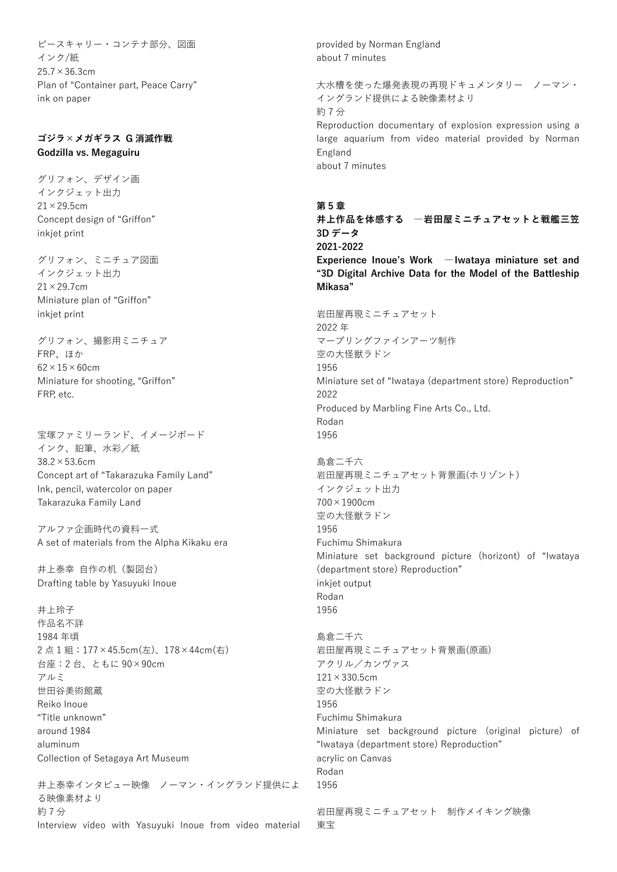ピースキャリー・コンテナ部分、図面 インク/紙 25.7×36.3cm Plan of "Container part, Peace Carry" ink on paper

## **ゴジラ×メガギラス G 消滅作戦 Godzilla vs. Megaguiru**

グリフォン、デザイン画 インクジェット出力  $21 \times 29.5$ cm Concept design of "Griffon" inkjet print

グリフォン、ミニチュア図面 インクジェット出力 21×29.7cm Miniature plan of "Griffon" inkjet print

グリフォン、撮影用ミニチュア FRP、ほか  $62 \times 15 \times 60$ cm Miniature for shooting, "Griffon" FRP, etc.

宝塚ファミリーランド、イメージボード インク、鉛筆、水彩/紙 38.2×53.6cm Concept art of "Takarazuka Family Land" Ink, pencil, watercolor on paper Takarazuka Family Land

アルファ企画時代の資料一式 A set of materials from the Alpha Kikaku era

井上泰幸 自作の机(製図台) Drafting table by Yasuyuki Inoue

井上玲子 作品名不詳 1984 年頃 2 点 1 組:177×45.5cm(左)、178×44cm(右) 台座:2 台、ともに 90×90cm アルミ 世田谷美術館蔵 Reiko Inoue "Title unknown" around 1984 aluminum Collection of Setagaya Art Museum

井上泰幸インタビュー映像 ノーマン・イングランド提供によ る映像素材より 約 7 分 Interview video with Yasuyuki Inoue from video material provided by Norman England about 7 minutes

大水槽を使った爆発表現の再現ドキュメンタリー ノーマン・ イングランド提供による映像素材より 約 7 分 Reproduction documentary of explosion expression using a large aquarium from video material provided by Norman England about 7 minutes

#### **第 5 章**

**井上作品を体感する ―岩田屋ミニチュアセットと戦艦三笠 3D データ 2021-2022 Experience Inoue's Work ―Iwataya miniature set and** 

**"3D Digital Archive Data for the Model of the Battleship Mikasa"**

岩田屋再現ミニチュアセット 2022 年 マーブリングファインアーツ制作 空の大怪獣ラドン 1956 Miniature set of "Iwataya (department store) Reproduction" 2022 Produced by Marbling Fine Arts Co., Ltd. Rodan 1956 島倉二千六 岩田屋再現ミニチュアセット背景画(ホリゾント) インクジェット出力 700×1900cm 空の大怪獣ラドン 1956 Fuchimu Shimakura Miniature set background picture (horizont) of "Iwataya (department store) Reproduction" inkjet output Rodan 1956 島倉二千六

岩田屋再現ミニチュアセット背景画(原画) アクリル/カンヴァス  $121 \times 330.5$ cm 空の大怪獣ラドン 1956 Fuchimu Shimakura Miniature set background picture (original picture) of "Iwataya (department store) Reproduction" acrylic on Canvas Rodan 1956

岩田屋再現ミニチュアセット 制作メイキング映像 東宝